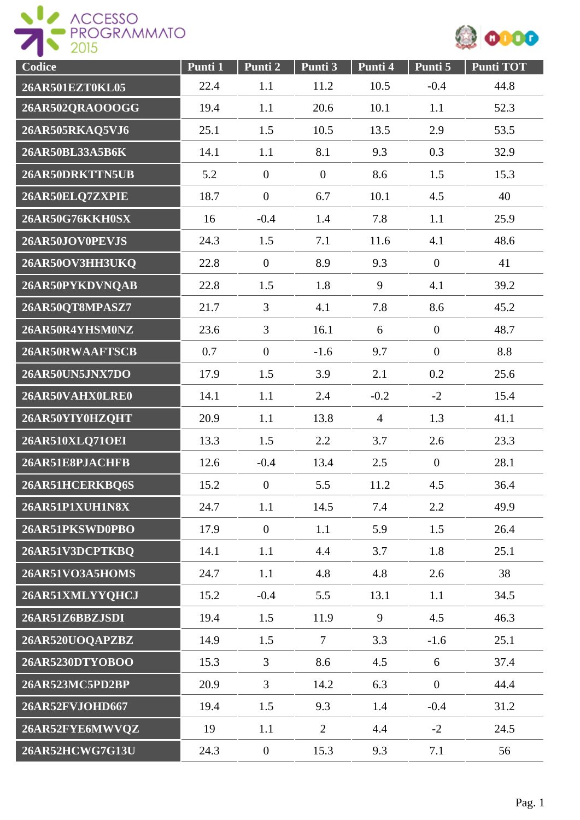



| Codice          | Punti 1 | Punti 2          | Punti 3          | Punti 4        | Punti 5        | <b>Punti TOT</b> |
|-----------------|---------|------------------|------------------|----------------|----------------|------------------|
| 26AR501EZT0KL05 | 22.4    | 1.1              | 11.2             | 10.5           | $-0.4$         | 44.8             |
| 26AR502QRAOOOGG | 19.4    | 1.1              | 20.6             | 10.1           | 1.1            | 52.3             |
| 26AR505RKAQ5VJ6 | 25.1    | 1.5              | 10.5             | 13.5           | 2.9            | 53.5             |
| 26AR50BL33A5B6K | 14.1    | 1.1              | 8.1              | 9.3            | 0.3            | 32.9             |
| 26AR50DRKTTN5UB | 5.2     | $\boldsymbol{0}$ | $\boldsymbol{0}$ | 8.6            | 1.5            | 15.3             |
| 26AR50ELQ7ZXPIE | 18.7    | $\boldsymbol{0}$ | 6.7              | 10.1           | 4.5            | 40               |
| 26AR50G76KKH0SX | 16      | $-0.4$           | 1.4              | 7.8            | 1.1            | 25.9             |
| 26AR50JOV0PEVJS | 24.3    | 1.5              | 7.1              | 11.6           | 4.1            | 48.6             |
| 26AR50OV3HH3UKQ | 22.8    | $\overline{0}$   | 8.9              | 9.3            | $\overline{0}$ | 41               |
| 26AR50PYKDVNQAB | 22.8    | 1.5              | 1.8              | 9              | 4.1            | 39.2             |
| 26AR50QT8MPASZ7 | 21.7    | $\overline{3}$   | 4.1              | 7.8            | 8.6            | 45.2             |
| 26AR50R4YHSM0NZ | 23.6    | $\overline{3}$   | 16.1             | 6              | $\mathbf{0}$   | 48.7             |
| 26AR50RWAAFTSCB | 0.7     | $\overline{0}$   | $-1.6$           | 9.7            | $\mathbf{0}$   | 8.8              |
| 26AR50UN5JNX7DO | 17.9    | 1.5              | 3.9              | 2.1            | 0.2            | 25.6             |
| 26AR50VAHX0LRE0 | 14.1    | 1.1              | 2.4              | $-0.2$         | $-2$           | 15.4             |
| 26AR50YIY0HZQHT | 20.9    | 1.1              | 13.8             | $\overline{4}$ | 1.3            | 41.1             |
| 26AR510XLQ71OEI | 13.3    | 1.5              | 2.2              | 3.7            | 2.6            | 23.3             |
| 26AR51E8PJACHFB | 12.6    | $-0.4$           | 13.4             | 2.5            | $\mathbf{0}$   | 28.1             |
| 26AR51HCERKBQ6S | 15.2    | $\overline{0}$   | 5.5              | 11.2           | 4.5            | 36.4             |
| 26AR51P1XUH1N8X | 24.7    | 1.1              | 14.5             | 7.4            | 2.2            | 49.9             |
| 26AR51PKSWD0PBO | 17.9    | $\boldsymbol{0}$ | 1.1              | 5.9            | 1.5            | 26.4             |
| 26AR51V3DCPTKBQ | 14.1    | 1.1              | 4.4              | 3.7            | 1.8            | 25.1             |
| 26AR51VO3A5HOMS | 24.7    | 1.1              | 4.8              | 4.8            | 2.6            | 38               |
| 26AR51XMLYYQHCJ | 15.2    | $-0.4$           | 5.5              | 13.1           | 1.1            | 34.5             |
| 26AR51Z6BBZJSDI | 19.4    | 1.5              | 11.9             | 9              | 4.5            | 46.3             |
| 26AR520UOQAPZBZ | 14.9    | 1.5              | $\tau$           | 3.3            | $-1.6$         | 25.1             |
| 26AR5230DTYOBOO | 15.3    | $\overline{3}$   | 8.6              | 4.5            | 6              | 37.4             |
| 26AR523MC5PD2BP | 20.9    | $\overline{3}$   | 14.2             | 6.3            | $\mathbf{0}$   | 44.4             |
| 26AR52FVJOHD667 | 19.4    | 1.5              | 9.3              | 1.4            | $-0.4$         | 31.2             |
| 26AR52FYE6MWVQZ | 19      | 1.1              | $\overline{2}$   | 4.4            | $-2$           | 24.5             |
| 26AR52HCWG7G13U | 24.3    | $\boldsymbol{0}$ | 15.3             | 9.3            | 7.1            | 56               |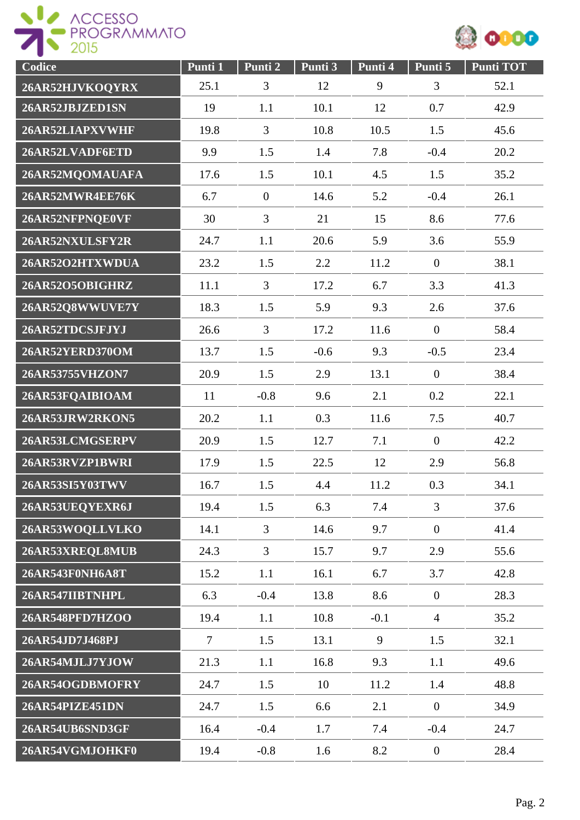



| Codice                 | Punti 1 | Punti 2        | Punti 3 | Punti 4 | Punti 5          | <b>Punti TOT</b> |
|------------------------|---------|----------------|---------|---------|------------------|------------------|
| 26AR52HJVKOQYRX        | 25.1    | 3              | 12      | 9       | 3                | 52.1             |
| 26AR52JBJZED1SN        | 19      | 1.1            | 10.1    | 12      | 0.7              | 42.9             |
| 26AR52LIAPXVWHF        | 19.8    | $\overline{3}$ | 10.8    | 10.5    | 1.5              | 45.6             |
| 26AR52LVADF6ETD        | 9.9     | 1.5            | 1.4     | 7.8     | $-0.4$           | 20.2             |
| 26AR52MQOMAUAFA        | 17.6    | 1.5            | 10.1    | 4.5     | 1.5              | 35.2             |
| 26AR52MWR4EE76K        | 6.7     | $\overline{0}$ | 14.6    | 5.2     | $-0.4$           | 26.1             |
| 26AR52NFPNQE0VF        | 30      | 3              | 21      | 15      | 8.6              | 77.6             |
| 26AR52NXULSFY2R        | 24.7    | 1.1            | 20.6    | 5.9     | 3.6              | 55.9             |
| 26AR52O2HTXWDUA        | 23.2    | 1.5            | 2.2     | 11.2    | $\overline{0}$   | 38.1             |
| 26AR52O5OBIGHRZ        | 11.1    | $\overline{3}$ | 17.2    | 6.7     | 3.3              | 41.3             |
| 26AR52Q8WWUVE7Y        | 18.3    | 1.5            | 5.9     | 9.3     | 2.6              | 37.6             |
| 26AR52TDCSJFJYJ        | 26.6    | $\overline{3}$ | 17.2    | 11.6    | $\mathbf{0}$     | 58.4             |
| 26AR52YERD370OM        | 13.7    | 1.5            | $-0.6$  | 9.3     | $-0.5$           | 23.4             |
| 26AR53755VHZON7        | 20.9    | 1.5            | 2.9     | 13.1    | $\boldsymbol{0}$ | 38.4             |
| 26AR53FQAIBIOAM        | 11      | $-0.8$         | 9.6     | 2.1     | 0.2              | 22.1             |
| 26AR53JRW2RKON5        | 20.2    | 1.1            | 0.3     | 11.6    | 7.5              | 40.7             |
| 26AR53LCMGSERPV        | 20.9    | 1.5            | 12.7    | 7.1     | $\overline{0}$   | 42.2             |
| 26AR53RVZP1BWRI        | 17.9    | 1.5            | 22.5    | 12      | 2.9              | 56.8             |
| 26AR53SI5Y03TWV        | 16.7    | 1.5            | 4.4     | 11.2    | 0.3              | 34.1             |
| 26AR53UEQYEXR6J        | 19.4    | 1.5            | 6.3     | 7.4     | $\overline{3}$   | 37.6             |
| 26AR53WOQLLVLKO        | 14.1    | $\overline{3}$ | 14.6    | 9.7     | $\mathbf{0}$     | 41.4             |
| 26AR53XREQL8MUB        | 24.3    | $\overline{3}$ | 15.7    | 9.7     | 2.9              | 55.6             |
| 26AR543F0NH6A8T        | 15.2    | 1.1            | 16.1    | 6.7     | 3.7              | 42.8             |
| 26AR547IIBTNHPL        | 6.3     | $-0.4$         | 13.8    | 8.6     | $\mathbf{0}$     | 28.3             |
| <b>26AR548PFD7HZOO</b> | 19.4    | 1.1            | 10.8    | $-0.1$  | $\overline{4}$   | 35.2             |
| 26AR54JD7J468PJ        | $\tau$  | 1.5            | 13.1    | 9       | 1.5              | 32.1             |
| 26AR54MJLJ7YJOW        | 21.3    | 1.1            | 16.8    | 9.3     | 1.1              | 49.6             |
| 26AR54OGDBMOFRY        | 24.7    | 1.5            | 10      | 11.2    | 1.4              | 48.8             |
| 26AR54PIZE451DN        | 24.7    | 1.5            | 6.6     | 2.1     | $\overline{0}$   | 34.9             |
| 26AR54UB6SND3GF        | 16.4    | $-0.4$         | 1.7     | 7.4     | $-0.4$           | 24.7             |
| 26AR54VGMJOHKF0        | 19.4    | $-0.8$         | 1.6     | 8.2     | $\mathbf{0}$     | 28.4             |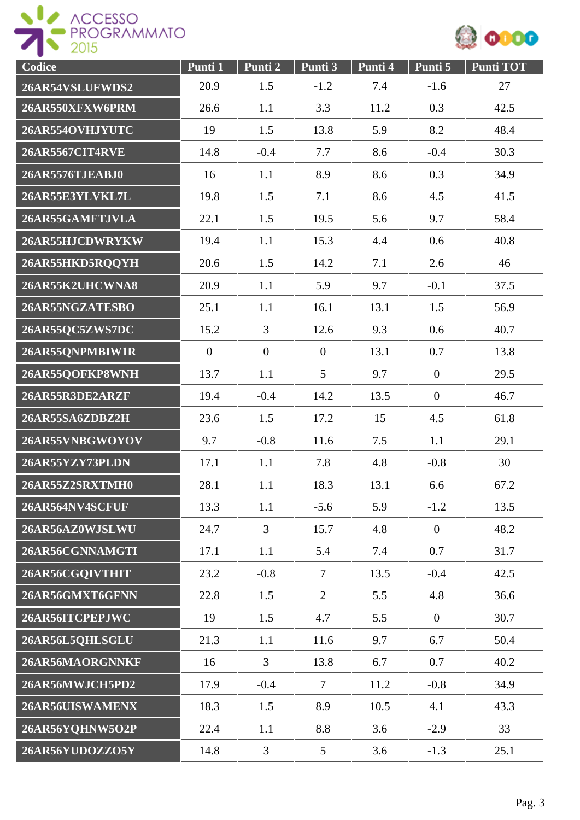



| Codice                 | Punti 1      | Punti 2        | Punti 3          | Punti 4 | Punti 5        | <b>Punti TOT</b> |
|------------------------|--------------|----------------|------------------|---------|----------------|------------------|
| 26AR54VSLUFWDS2        | 20.9         | 1.5            | $-1.2$           | 7.4     | $-1.6$         | 27               |
| 26AR550XFXW6PRM        | 26.6         | 1.1            | 3.3              | 11.2    | 0.3            | 42.5             |
| 26AR554OVHJYUTC        | 19           | 1.5            | 13.8             | 5.9     | 8.2            | 48.4             |
| <b>26AR5567CIT4RVE</b> | 14.8         | $-0.4$         | 7.7              | 8.6     | $-0.4$         | 30.3             |
| 26AR5576TJEABJ0        | 16           | 1.1            | 8.9              | 8.6     | 0.3            | 34.9             |
| 26AR55E3YLVKL7L        | 19.8         | 1.5            | 7.1              | 8.6     | 4.5            | 41.5             |
| 26AR55GAMFTJVLA        | 22.1         | 1.5            | 19.5             | 5.6     | 9.7            | 58.4             |
| 26AR55HJCDWRYKW        | 19.4         | 1.1            | 15.3             | 4.4     | 0.6            | 40.8             |
| 26AR55HKD5RQQYH        | 20.6         | 1.5            | 14.2             | 7.1     | 2.6            | 46               |
| 26AR55K2UHCWNA8        | 20.9         | 1.1            | 5.9              | 9.7     | $-0.1$         | 37.5             |
| 26AR55NGZATESBO        | 25.1         | 1.1            | 16.1             | 13.1    | 1.5            | 56.9             |
| 26AR55QC5ZWS7DC        | 15.2         | 3              | 12.6             | 9.3     | 0.6            | 40.7             |
| 26AR55QNPMBIW1R        | $\mathbf{0}$ | $\overline{0}$ | $\boldsymbol{0}$ | 13.1    | 0.7            | 13.8             |
| 26AR55QOFKP8WNH        | 13.7         | 1.1            | 5                | 9.7     | $\mathbf{0}$   | 29.5             |
| 26AR55R3DE2ARZF        | 19.4         | $-0.4$         | 14.2             | 13.5    | $\mathbf{0}$   | 46.7             |
| 26AR55SA6ZDBZ2H        | 23.6         | 1.5            | 17.2             | 15      | 4.5            | 61.8             |
| 26AR55VNBGWOYOV        | 9.7          | $-0.8$         | 11.6             | 7.5     | 1.1            | 29.1             |
| 26AR55YZY73PLDN        | 17.1         | 1.1            | 7.8              | 4.8     | $-0.8$         | 30               |
| 26AR55Z2SRXTMH0        | 28.1         | 1.1            | 18.3             | 13.1    | 6.6            | 67.2             |
| 26AR564NV4SCFUF        | 13.3         | 1.1            | $-5.6$           | 5.9     | $-1.2$         | 13.5             |
| 26AR56AZ0WJSLWU        | 24.7         | $\overline{3}$ | 15.7             | 4.8     | $\overline{0}$ | 48.2             |
| 26AR56CGNNAMGTI        | 17.1         | 1.1            | 5.4              | 7.4     | 0.7            | 31.7             |
| 26AR56CGQIVTHIT        | 23.2         | $-0.8$         | $\overline{7}$   | 13.5    | $-0.4$         | 42.5             |
| 26AR56GMXT6GFNN        | 22.8         | 1.5            | $\overline{2}$   | 5.5     | 4.8            | 36.6             |
| 26AR56ITCPEPJWC        | 19           | 1.5            | 4.7              | 5.5     | $\overline{0}$ | 30.7             |
| 26AR56L5QHLSGLU        | 21.3         | 1.1            | 11.6             | 9.7     | 6.7            | 50.4             |
| 26AR56MAORGNNKF        | 16           | $\overline{3}$ | 13.8             | 6.7     | 0.7            | 40.2             |
| 26AR56MWJCH5PD2        | 17.9         | $-0.4$         | $\overline{7}$   | 11.2    | $-0.8$         | 34.9             |
| 26AR56UISWAMENX        | 18.3         | 1.5            | 8.9              | 10.5    | 4.1            | 43.3             |
| 26AR56YQHNW5O2P        | 22.4         | 1.1            | 8.8              | 3.6     | $-2.9$         | 33               |
| 26AR56YUDOZZO5Y        | 14.8         | 3              | $5\overline{)}$  | 3.6     | $-1.3$         | 25.1             |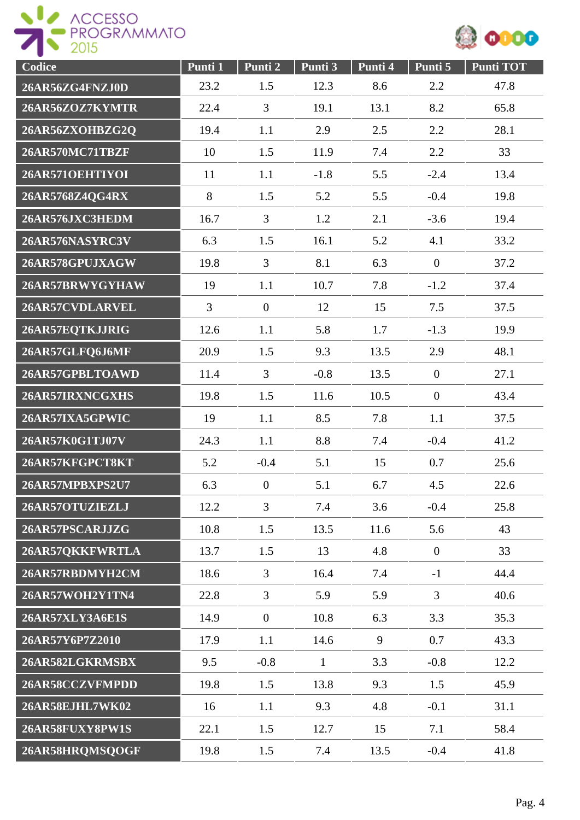



| Codice          | Punti 1        | Punti 2          | Punti 3      | Punti 4 | Punti 5        | <b>Punti TOT</b> |
|-----------------|----------------|------------------|--------------|---------|----------------|------------------|
| 26AR56ZG4FNZJ0D | 23.2           | 1.5              | 12.3         | 8.6     | 2.2            | 47.8             |
| 26AR56ZOZ7KYMTR | 22.4           | 3                | 19.1         | 13.1    | 8.2            | 65.8             |
| 26AR56ZXOHBZG2Q | 19.4           | 1.1              | 2.9          | 2.5     | 2.2            | 28.1             |
| 26AR570MC71TBZF | 10             | 1.5              | 11.9         | 7.4     | 2.2            | 33               |
| 26AR571OEHTIYOI | 11             | 1.1              | $-1.8$       | 5.5     | $-2.4$         | 13.4             |
| 26AR5768Z4QG4RX | 8              | 1.5              | 5.2          | 5.5     | $-0.4$         | 19.8             |
| 26AR576JXC3HEDM | 16.7           | 3                | 1.2          | 2.1     | $-3.6$         | 19.4             |
| 26AR576NASYRC3V | 6.3            | 1.5              | 16.1         | 5.2     | 4.1            | 33.2             |
| 26AR578GPUJXAGW | 19.8           | 3                | 8.1          | 6.3     | $\mathbf{0}$   | 37.2             |
| 26AR57BRWYGYHAW | 19             | 1.1              | 10.7         | 7.8     | $-1.2$         | 37.4             |
| 26AR57CVDLARVEL | $\overline{3}$ | $\overline{0}$   | 12           | 15      | 7.5            | 37.5             |
| 26AR57EQTKJJRIG | 12.6           | 1.1              | 5.8          | 1.7     | $-1.3$         | 19.9             |
| 26AR57GLFQ6J6MF | 20.9           | 1.5              | 9.3          | 13.5    | 2.9            | 48.1             |
| 26AR57GPBLTOAWD | 11.4           | $\overline{3}$   | $-0.8$       | 13.5    | $\mathbf{0}$   | 27.1             |
| 26AR57IRXNCGXHS | 19.8           | 1.5              | 11.6         | 10.5    | $\mathbf{0}$   | 43.4             |
| 26AR57IXA5GPWIC | 19             | 1.1              | 8.5          | 7.8     | 1.1            | 37.5             |
| 26AR57K0G1TJ07V | 24.3           | 1.1              | 8.8          | 7.4     | $-0.4$         | 41.2             |
| 26AR57KFGPCT8KT | 5.2            | $-0.4$           | 5.1          | 15      | 0.7            | 25.6             |
| 26AR57MPBXPS2U7 | 6.3            | $\boldsymbol{0}$ | 5.1          | 6.7     | 4.5            | 22.6             |
| 26AR57OTUZIEZLJ | 12.2           | $\overline{3}$   | 7.4          | 3.6     | $-0.4$         | 25.8             |
| 26AR57PSCARJJZG | 10.8           | 1.5              | 13.5         | 11.6    | 5.6            | 43               |
| 26AR57QKKFWRTLA | 13.7           | 1.5              | 13           | 4.8     | $\overline{0}$ | 33               |
| 26AR57RBDMYH2CM | 18.6           | $\overline{3}$   | 16.4         | 7.4     | $-1$           | 44.4             |
| 26AR57WOH2Y1TN4 | 22.8           | $\overline{3}$   | 5.9          | 5.9     | $\overline{3}$ | 40.6             |
| 26AR57XLY3A6E1S | 14.9           | $\overline{0}$   | 10.8         | 6.3     | 3.3            | 35.3             |
| 26AR57Y6P7Z2010 | 17.9           | 1.1              | 14.6         | 9       | 0.7            | 43.3             |
| 26AR582LGKRMSBX | 9.5            | $-0.8$           | $\mathbf{1}$ | 3.3     | $-0.8$         | 12.2             |
| 26AR58CCZVFMPDD | 19.8           | 1.5              | 13.8         | 9.3     | 1.5            | 45.9             |
| 26AR58EJHL7WK02 | 16             | 1.1              | 9.3          | 4.8     | $-0.1$         | 31.1             |
| 26AR58FUXY8PW1S | 22.1           | 1.5              | 12.7         | 15      | 7.1            | 58.4             |
| 26AR58HRQMSQOGF | 19.8           | 1.5              | 7.4          | 13.5    | $-0.4$         | 41.8             |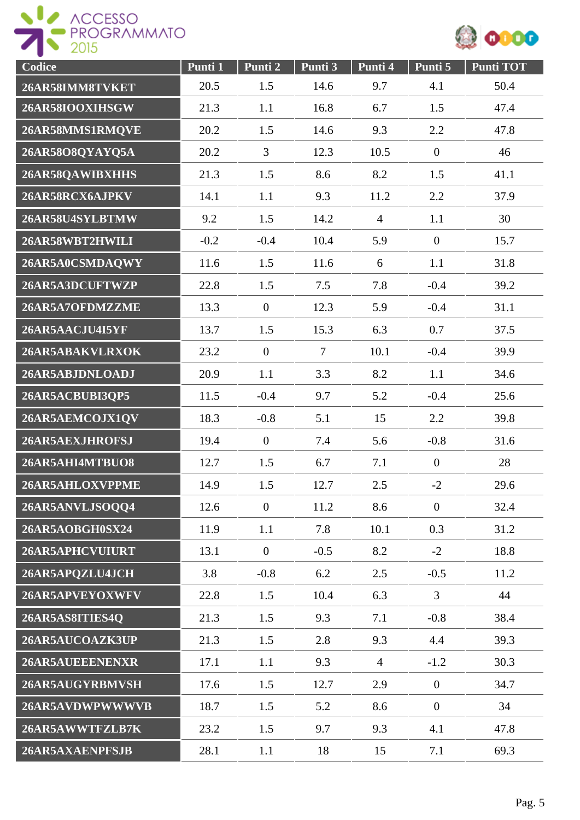



| Codice          | Punti 1 | Punti 2        | Punti 3 | Punti 4        | Punti 5        | <b>Punti TOT</b> |
|-----------------|---------|----------------|---------|----------------|----------------|------------------|
| 26AR58IMM8TVKET | 20.5    | 1.5            | 14.6    | 9.7            | 4.1            | 50.4             |
| 26AR58IOOXIHSGW | 21.3    | 1.1            | 16.8    | 6.7            | 1.5            | 47.4             |
| 26AR58MMS1RMOVE | 20.2    | 1.5            | 14.6    | 9.3            | 2.2            | 47.8             |
| 26AR58O8QYAYQ5A | 20.2    | 3              | 12.3    | 10.5           | $\overline{0}$ | 46               |
| 26AR58QAWIBXHHS | 21.3    | 1.5            | 8.6     | 8.2            | 1.5            | 41.1             |
| 26AR58RCX6AJPKV | 14.1    | 1.1            | 9.3     | 11.2           | 2.2            | 37.9             |
| 26AR58U4SYLBTMW | 9.2     | 1.5            | 14.2    | $\overline{4}$ | 1.1            | 30               |
| 26AR58WBT2HWILI | $-0.2$  | $-0.4$         | 10.4    | 5.9            | $\overline{0}$ | 15.7             |
| 26AR5A0CSMDAQWY | 11.6    | 1.5            | 11.6    | 6              | 1.1            | 31.8             |
| 26AR5A3DCUFTWZP | 22.8    | 1.5            | 7.5     | 7.8            | $-0.4$         | 39.2             |
| 26AR5A7OFDMZZME | 13.3    | $\mathbf{0}$   | 12.3    | 5.9            | $-0.4$         | 31.1             |
| 26AR5AACJU4I5YF | 13.7    | 1.5            | 15.3    | 6.3            | 0.7            | 37.5             |
| 26AR5ABAKVLRXOK | 23.2    | $\mathbf{0}$   | $\tau$  | 10.1           | $-0.4$         | 39.9             |
| 26AR5ABJDNLOADJ | 20.9    | 1.1            | 3.3     | 8.2            | 1.1            | 34.6             |
| 26AR5ACBUBI3QP5 | 11.5    | $-0.4$         | 9.7     | 5.2            | $-0.4$         | 25.6             |
| 26AR5AEMCOJX1QV | 18.3    | $-0.8$         | 5.1     | 15             | 2.2            | 39.8             |
| 26AR5AEXJHROFSJ | 19.4    | $\overline{0}$ | 7.4     | 5.6            | $-0.8$         | 31.6             |
| 26AR5AHI4MTBUO8 | 12.7    | 1.5            | 6.7     | 7.1            | $\overline{0}$ | 28               |
| 26AR5AHLOXVPPME | 14.9    | 1.5            | 12.7    | 2.5            | $-2$           | 29.6             |
| 26AR5ANVLJSOQQ4 | 12.6    | $\mathbf{0}$   | 11.2    | 8.6            | $\overline{0}$ | 32.4             |
| 26AR5AOBGH0SX24 | 11.9    | 1.1            | 7.8     | 10.1           | 0.3            | 31.2             |
| 26AR5APHCVUIURT | 13.1    | $\overline{0}$ | $-0.5$  | 8.2            | $-2$           | 18.8             |
| 26AR5APQZLU4JCH | 3.8     | $-0.8$         | 6.2     | 2.5            | $-0.5$         | 11.2             |
| 26AR5APVEYOXWFV | 22.8    | 1.5            | 10.4    | 6.3            | $\overline{3}$ | 44               |
| 26AR5AS8ITIES4Q | 21.3    | 1.5            | 9.3     | 7.1            | $-0.8$         | 38.4             |
| 26AR5AUCOAZK3UP | 21.3    | 1.5            | 2.8     | 9.3            | 4.4            | 39.3             |
| 26AR5AUEEENENXR | 17.1    | 1.1            | 9.3     | $\overline{4}$ | $-1.2$         | 30.3             |
| 26AR5AUGYRBMVSH | 17.6    | 1.5            | 12.7    | 2.9            | $\overline{0}$ | 34.7             |
| 26AR5AVDWPWWWVB | 18.7    | 1.5            | 5.2     | 8.6            | $\overline{0}$ | 34               |
| 26AR5AWWTFZLB7K | 23.2    | 1.5            | 9.7     | 9.3            | 4.1            | 47.8             |
| 26AR5AXAENPFSJB | 28.1    | 1.1            | 18      | 15             | 7.1            | 69.3             |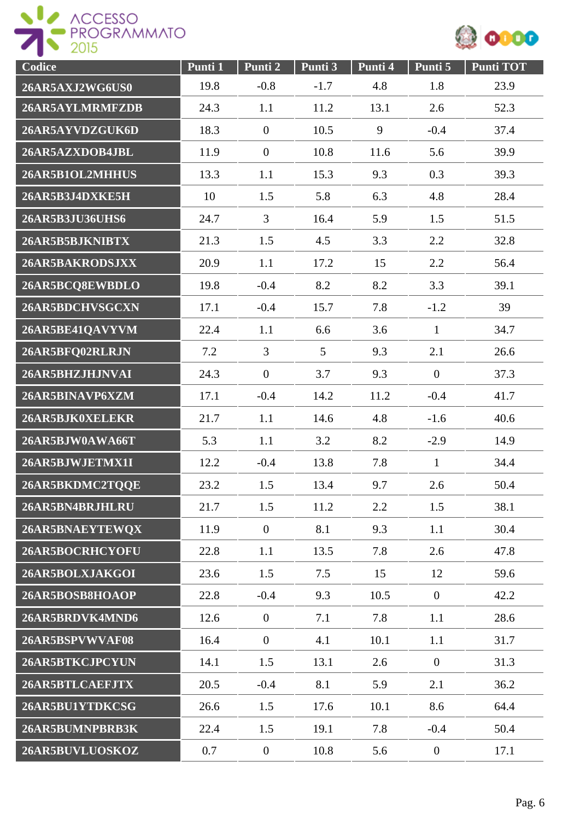



| Codice          | Punti 1 | Punti 2        | Punti 3 | Punti 4 | Punti 5        | <b>Punti TOT</b> |
|-----------------|---------|----------------|---------|---------|----------------|------------------|
| 26AR5AXJ2WG6US0 | 19.8    | $-0.8$         | $-1.7$  | 4.8     | 1.8            | 23.9             |
| 26AR5AYLMRMFZDB | 24.3    | 1.1            | 11.2    | 13.1    | 2.6            | 52.3             |
| 26AR5AYVDZGUK6D | 18.3    | $\mathbf{0}$   | 10.5    | 9       | $-0.4$         | 37.4             |
| 26AR5AZXDOB4JBL | 11.9    | $\overline{0}$ | 10.8    | 11.6    | 5.6            | 39.9             |
| 26AR5B1OL2MHHUS | 13.3    | 1.1            | 15.3    | 9.3     | 0.3            | 39.3             |
| 26AR5B3J4DXKE5H | 10      | 1.5            | 5.8     | 6.3     | 4.8            | 28.4             |
| 26AR5B3JU36UHS6 | 24.7    | $\overline{3}$ | 16.4    | 5.9     | 1.5            | 51.5             |
| 26AR5B5BJKNIBTX | 21.3    | 1.5            | 4.5     | 3.3     | 2.2            | 32.8             |
| 26AR5BAKRODSJXX | 20.9    | 1.1            | 17.2    | 15      | 2.2            | 56.4             |
| 26AR5BCQ8EWBDLO | 19.8    | $-0.4$         | 8.2     | 8.2     | 3.3            | 39.1             |
| 26AR5BDCHVSGCXN | 17.1    | $-0.4$         | 15.7    | 7.8     | $-1.2$         | 39               |
| 26AR5BE41QAVYVM | 22.4    | 1.1            | 6.6     | 3.6     | $\mathbf{1}$   | 34.7             |
| 26AR5BFQ02RLRJN | 7.2     | $\overline{3}$ | 5       | 9.3     | 2.1            | 26.6             |
| 26AR5BHZJHJNVAI | 24.3    | $\mathbf{0}$   | 3.7     | 9.3     | $\overline{0}$ | 37.3             |
| 26AR5BINAVP6XZM | 17.1    | $-0.4$         | 14.2    | 11.2    | $-0.4$         | 41.7             |
| 26AR5BJK0XELEKR | 21.7    | 1.1            | 14.6    | 4.8     | $-1.6$         | 40.6             |
| 26AR5BJW0AWA66T | 5.3     | 1.1            | 3.2     | 8.2     | $-2.9$         | 14.9             |
| 26AR5BJWJETMX1I | 12.2    | $-0.4$         | 13.8    | 7.8     | $\mathbf{1}$   | 34.4             |
| 26AR5BKDMC2TQQE | 23.2    | 1.5            | 13.4    | 9.7     | 2.6            | 50.4             |
| 26AR5BN4BRJHLRU | 21.7    | 1.5            | 11.2    | 2.2     | 1.5            | 38.1             |
| 26AR5BNAEYTEWQX | 11.9    | $\mathbf{0}$   | 8.1     | 9.3     | 1.1            | 30.4             |
| 26AR5BOCRHCYOFU | 22.8    | 1.1            | 13.5    | 7.8     | 2.6            | 47.8             |
| 26AR5BOLXJAKGOI | 23.6    | 1.5            | 7.5     | 15      | 12             | 59.6             |
| 26AR5BOSB8HOAOP | 22.8    | $-0.4$         | 9.3     | 10.5    | $\overline{0}$ | 42.2             |
| 26AR5BRDVK4MND6 | 12.6    | $\overline{0}$ | 7.1     | 7.8     | 1.1            | 28.6             |
| 26AR5BSPVWVAF08 | 16.4    | $\overline{0}$ | 4.1     | 10.1    | 1.1            | 31.7             |
| 26AR5BTKCJPCYUN | 14.1    | 1.5            | 13.1    | 2.6     | $\overline{0}$ | 31.3             |
| 26AR5BTLCAEFJTX | 20.5    | $-0.4$         | 8.1     | 5.9     | 2.1            | 36.2             |
| 26AR5BU1YTDKCSG | 26.6    | 1.5            | 17.6    | 10.1    | 8.6            | 64.4             |
| 26AR5BUMNPBRB3K | 22.4    | 1.5            | 19.1    | 7.8     | $-0.4$         | 50.4             |
| 26AR5BUVLUOSKOZ | 0.7     | $\overline{0}$ | 10.8    | 5.6     | $\overline{0}$ | 17.1             |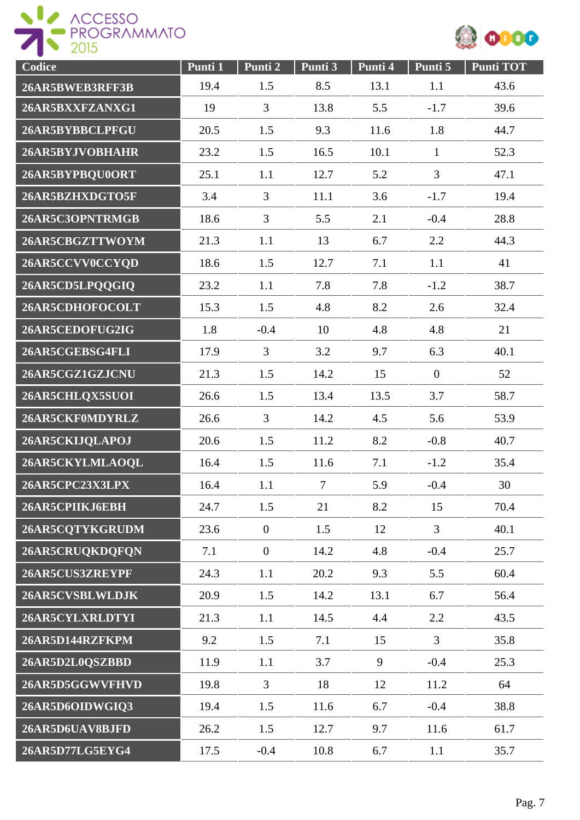



| Codice          | Punti 1 | Punti 2          | Punti 3        | Punti 4 | Punti 5        | <b>Punti TOT</b> |
|-----------------|---------|------------------|----------------|---------|----------------|------------------|
| 26AR5BWEB3RFF3B | 19.4    | 1.5              | 8.5            | 13.1    | 1.1            | 43.6             |
| 26AR5BXXFZANXG1 | 19      | $\overline{3}$   | 13.8           | 5.5     | $-1.7$         | 39.6             |
| 26AR5BYBBCLPFGU | 20.5    | 1.5              | 9.3            | 11.6    | 1.8            | 44.7             |
| 26AR5BYJVOBHAHR | 23.2    | 1.5              | 16.5           | 10.1    | $\mathbf{1}$   | 52.3             |
| 26AR5BYPBQU0ORT | 25.1    | 1.1              | 12.7           | 5.2     | 3              | 47.1             |
| 26AR5BZHXDGTO5F | 3.4     | 3                | 11.1           | 3.6     | $-1.7$         | 19.4             |
| 26AR5C3OPNTRMGB | 18.6    | $\overline{3}$   | 5.5            | 2.1     | $-0.4$         | 28.8             |
| 26AR5CBGZTTWOYM | 21.3    | 1.1              | 13             | 6.7     | 2.2            | 44.3             |
| 26AR5CCVV0CCYQD | 18.6    | 1.5              | 12.7           | 7.1     | 1.1            | 41               |
| 26AR5CD5LPQQGIQ | 23.2    | 1.1              | 7.8            | 7.8     | $-1.2$         | 38.7             |
| 26AR5CDHOFOCOLT | 15.3    | 1.5              | 4.8            | 8.2     | 2.6            | 32.4             |
| 26AR5CEDOFUG2IG | 1.8     | $-0.4$           | 10             | 4.8     | 4.8            | 21               |
| 26AR5CGEBSG4FLI | 17.9    | $\overline{3}$   | 3.2            | 9.7     | 6.3            | 40.1             |
| 26AR5CGZ1GZJCNU | 21.3    | 1.5              | 14.2           | 15      | $\overline{0}$ | 52               |
| 26AR5CHLQX5SUOI | 26.6    | 1.5              | 13.4           | 13.5    | 3.7            | 58.7             |
| 26AR5CKF0MDYRLZ | 26.6    | $\overline{3}$   | 14.2           | 4.5     | 5.6            | 53.9             |
| 26AR5CKIJQLAPOJ | 20.6    | 1.5              | 11.2           | 8.2     | $-0.8$         | 40.7             |
| 26AR5CKYLMLAOQL | 16.4    | 1.5              | 11.6           | 7.1     | $-1.2$         | 35.4             |
| 26AR5CPC23X3LPX | 16.4    | 1.1              | $\overline{7}$ | 5.9     | $-0.4$         | 30               |
| 26AR5CPIIKJ6EBH | 24.7    | 1.5              | 21             | 8.2     | 15             | 70.4             |
| 26AR5CQTYKGRUDM | 23.6    | $\boldsymbol{0}$ | 1.5            | 12      | $\overline{3}$ | 40.1             |
| 26AR5CRUQKDQFQN | 7.1     | $\overline{0}$   | 14.2           | 4.8     | $-0.4$         | 25.7             |
| 26AR5CUS3ZREYPF | 24.3    | 1.1              | 20.2           | 9.3     | 5.5            | 60.4             |
| 26AR5CVSBLWLDJK | 20.9    | 1.5              | 14.2           | 13.1    | 6.7            | 56.4             |
| 26AR5CYLXRLDTYI | 21.3    | 1.1              | 14.5           | 4.4     | 2.2            | 43.5             |
| 26AR5D144RZFKPM | 9.2     | 1.5              | 7.1            | 15      | $\overline{3}$ | 35.8             |
| 26AR5D2L0QSZBBD | 11.9    | 1.1              | 3.7            | 9       | $-0.4$         | 25.3             |
| 26AR5D5GGWVFHVD | 19.8    | $\overline{3}$   | 18             | 12      | 11.2           | 64               |
| 26AR5D6OIDWGIQ3 | 19.4    | 1.5              | 11.6           | 6.7     | $-0.4$         | 38.8             |
| 26AR5D6UAV8BJFD | 26.2    | 1.5              | 12.7           | 9.7     | 11.6           | 61.7             |
| 26AR5D77LG5EYG4 | 17.5    | $-0.4$           | 10.8           | 6.7     | 1.1            | 35.7             |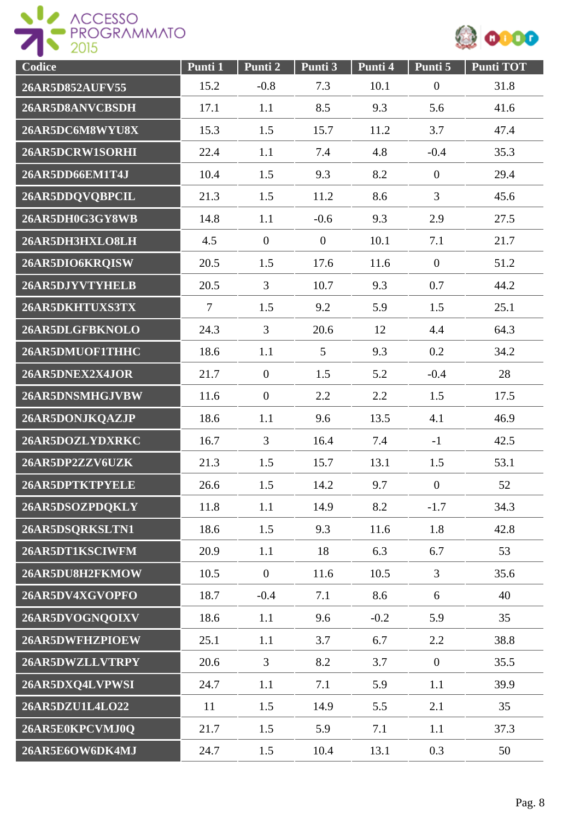



| Codice          | Punti 1        | Punti 2        | Punti 3        | Punti 4 | Punti 5        | <b>Punti TOT</b> |
|-----------------|----------------|----------------|----------------|---------|----------------|------------------|
| 26AR5D852AUFV55 | 15.2           | $-0.8$         | 7.3            | 10.1    | $\overline{0}$ | 31.8             |
| 26AR5D8ANVCBSDH | 17.1           | 1.1            | 8.5            | 9.3     | 5.6            | 41.6             |
| 26AR5DC6M8WYU8X | 15.3           | 1.5            | 15.7           | 11.2    | 3.7            | 47.4             |
| 26AR5DCRW1SORHI | 22.4           | 1.1            | 7.4            | 4.8     | $-0.4$         | 35.3             |
| 26AR5DD66EM1T4J | 10.4           | 1.5            | 9.3            | 8.2     | $\overline{0}$ | 29.4             |
| 26AR5DDQVQBPCIL | 21.3           | 1.5            | 11.2           | 8.6     | 3              | 45.6             |
| 26AR5DH0G3GY8WB | 14.8           | 1.1            | $-0.6$         | 9.3     | 2.9            | 27.5             |
| 26AR5DH3HXLO8LH | 4.5            | $\overline{0}$ | $\overline{0}$ | 10.1    | 7.1            | 21.7             |
| 26AR5DIO6KRQISW | 20.5           | 1.5            | 17.6           | 11.6    | $\theta$       | 51.2             |
| 26AR5DJYVTYHELB | 20.5           | $\overline{3}$ | 10.7           | 9.3     | 0.7            | 44.2             |
| 26AR5DKHTUXS3TX | $\overline{7}$ | 1.5            | 9.2            | 5.9     | 1.5            | 25.1             |
| 26AR5DLGFBKNOLO | 24.3           | $\overline{3}$ | 20.6           | 12      | 4.4            | 64.3             |
| 26AR5DMUOF1THHC | 18.6           | 1.1            | 5              | 9.3     | 0.2            | 34.2             |
| 26AR5DNEX2X4JOR | 21.7           | $\mathbf{0}$   | 1.5            | 5.2     | $-0.4$         | 28               |
| 26AR5DNSMHGJVBW | 11.6           | $\mathbf{0}$   | 2.2            | 2.2     | 1.5            | 17.5             |
| 26AR5DONJKQAZJP | 18.6           | 1.1            | 9.6            | 13.5    | 4.1            | 46.9             |
| 26AR5DOZLYDXRKC | 16.7           | 3              | 16.4           | 7.4     | $-1$           | 42.5             |
| 26AR5DP2ZZV6UZK | 21.3           | 1.5            | 15.7           | 13.1    | 1.5            | 53.1             |
| 26AR5DPTKTPYELE | 26.6           | 1.5            | 14.2           | 9.7     | $\overline{0}$ | 52               |
| 26AR5DSOZPDQKLY | 11.8           | 1.1            | 14.9           | 8.2     | $-1.7$         | 34.3             |
| 26AR5DSQRKSLTN1 | 18.6           | 1.5            | 9.3            | 11.6    | 1.8            | 42.8             |
| 26AR5DT1KSCIWFM | 20.9           | 1.1            | 18             | 6.3     | 6.7            | 53               |
| 26AR5DU8H2FKMOW | 10.5           | $\mathbf{0}$   | 11.6           | 10.5    | $\overline{3}$ | 35.6             |
| 26AR5DV4XGVOPFO | 18.7           | $-0.4$         | 7.1            | 8.6     | 6              | 40               |
| 26AR5DVOGNQOIXV | 18.6           | 1.1            | 9.6            | $-0.2$  | 5.9            | 35               |
| 26AR5DWFHZPIOEW | 25.1           | 1.1            | 3.7            | 6.7     | 2.2            | 38.8             |
| 26AR5DWZLLVTRPY | 20.6           | 3              | 8.2            | 3.7     | $\overline{0}$ | 35.5             |
| 26AR5DXQ4LVPWSI | 24.7           | 1.1            | 7.1            | 5.9     | 1.1            | 39.9             |
| 26AR5DZU1L4LO22 | 11             | 1.5            | 14.9           | 5.5     | 2.1            | 35               |
| 26AR5E0KPCVMJ0Q | 21.7           | 1.5            | 5.9            | 7.1     | 1.1            | 37.3             |
| 26AR5E6OW6DK4MJ | 24.7           | 1.5            | 10.4           | 13.1    | 0.3            | 50               |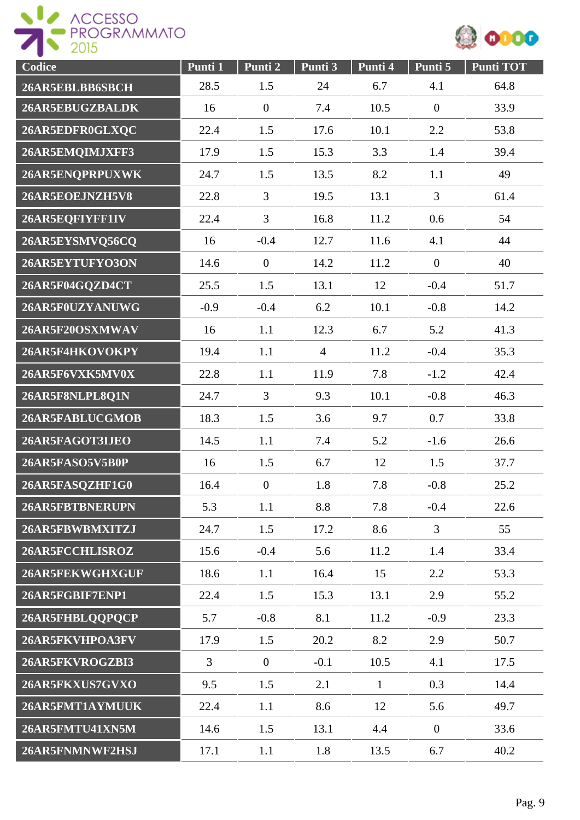



| Codice          | Punti 1        | Punti 2          | Punti 3        | Punti 4      | Punti 5          | Punti TOT |
|-----------------|----------------|------------------|----------------|--------------|------------------|-----------|
| 26AR5EBLBB6SBCH | 28.5           | 1.5              | 24             | 6.7          | 4.1              | 64.8      |
| 26AR5EBUGZBALDK | 16             | $\boldsymbol{0}$ | 7.4            | 10.5         | $\mathbf{0}$     | 33.9      |
| 26AR5EDFR0GLXQC | 22.4           | 1.5              | 17.6           | 10.1         | 2.2              | 53.8      |
| 26AR5EMQIMJXFF3 | 17.9           | 1.5              | 15.3           | 3.3          | 1.4              | 39.4      |
| 26AR5ENOPRPUXWK | 24.7           | 1.5              | 13.5           | 8.2          | 1.1              | 49        |
| 26AR5EOEJNZH5V8 | 22.8           | 3                | 19.5           | 13.1         | 3                | 61.4      |
| 26AR5EQFIYFF1IV | 22.4           | 3                | 16.8           | 11.2         | 0.6              | 54        |
| 26AR5EYSMVQ56CQ | 16             | $-0.4$           | 12.7           | 11.6         | 4.1              | 44        |
| 26AR5EYTUFYO3ON | 14.6           | $\overline{0}$   | 14.2           | 11.2         | $\boldsymbol{0}$ | 40        |
| 26AR5F04GQZD4CT | 25.5           | 1.5              | 13.1           | 12           | $-0.4$           | 51.7      |
| 26AR5F0UZYANUWG | $-0.9$         | $-0.4$           | 6.2            | 10.1         | $-0.8$           | 14.2      |
| 26AR5F20OSXMWAV | 16             | 1.1              | 12.3           | 6.7          | 5.2              | 41.3      |
| 26AR5F4HKOVOKPY | 19.4           | 1.1              | $\overline{4}$ | 11.2         | $-0.4$           | 35.3      |
| 26AR5F6VXK5MV0X | 22.8           | 1.1              | 11.9           | 7.8          | $-1.2$           | 42.4      |
| 26AR5F8NLPL8Q1N | 24.7           | $\overline{3}$   | 9.3            | 10.1         | $-0.8$           | 46.3      |
| 26AR5FABLUCGMOB | 18.3           | 1.5              | 3.6            | 9.7          | 0.7              | 33.8      |
| 26AR5FAGOT3IJEO | 14.5           | 1.1              | 7.4            | 5.2          | $-1.6$           | 26.6      |
| 26AR5FASO5V5B0P | 16             | 1.5              | 6.7            | 12           | 1.5              | 37.7      |
| 26AR5FASQZHF1G0 | 16.4           | $\boldsymbol{0}$ | 1.8            | 7.8          | $-0.8$           | 25.2      |
| 26AR5FBTBNERUPN | 5.3            | 1.1              | 8.8            | 7.8          | $-0.4$           | 22.6      |
| 26AR5FBWBMXITZJ | 24.7           | 1.5              | 17.2           | 8.6          | $\overline{3}$   | 55        |
| 26AR5FCCHLISROZ | 15.6           | $-0.4$           | 5.6            | 11.2         | 1.4              | 33.4      |
| 26AR5FEKWGHXGUF | 18.6           | 1.1              | 16.4           | 15           | 2.2              | 53.3      |
| 26AR5FGBIF7ENP1 | 22.4           | 1.5              | 15.3           | 13.1         | 2.9              | 55.2      |
| 26AR5FHBLQQPQCP | 5.7            | $-0.8$           | 8.1            | 11.2         | $-0.9$           | 23.3      |
| 26AR5FKVHPOA3FV | 17.9           | 1.5              | 20.2           | 8.2          | 2.9              | 50.7      |
| 26AR5FKVROGZBI3 | $\overline{3}$ | $\boldsymbol{0}$ | $-0.1$         | 10.5         | 4.1              | 17.5      |
| 26AR5FKXUS7GVXO | 9.5            | 1.5              | 2.1            | $\mathbf{1}$ | 0.3              | 14.4      |
| 26AR5FMT1AYMUUK | 22.4           | 1.1              | 8.6            | 12           | 5.6              | 49.7      |
| 26AR5FMTU41XN5M | 14.6           | 1.5              | 13.1           | 4.4          | $\overline{0}$   | 33.6      |
| 26AR5FNMNWF2HSJ | 17.1           | 1.1              | 1.8            | 13.5         | 6.7              | 40.2      |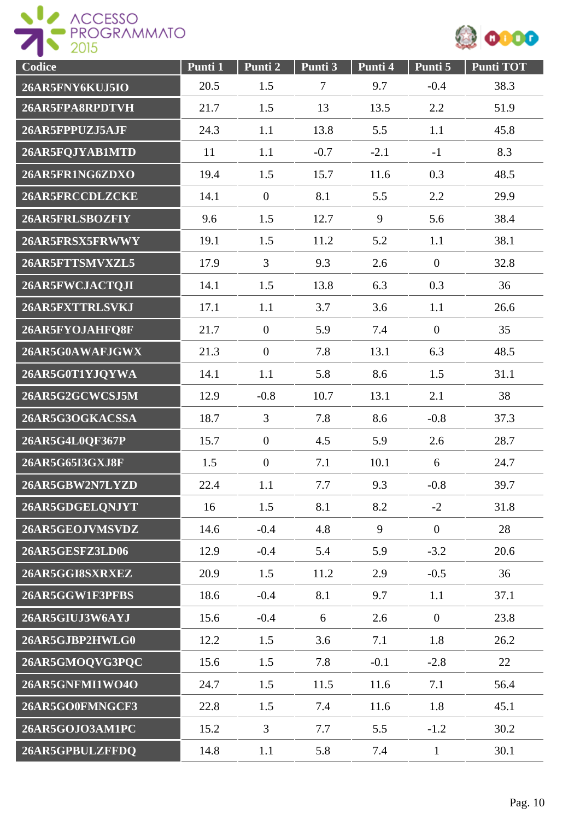



| Codice          | Punti 1 | Punti 2          | Punti 3        | Punti 4 | Punti 5          | <b>Punti TOT</b> |
|-----------------|---------|------------------|----------------|---------|------------------|------------------|
| 26AR5FNY6KUJ5IO | 20.5    | 1.5              | $\overline{7}$ | 9.7     | $-0.4$           | 38.3             |
| 26AR5FPA8RPDTVH | 21.7    | 1.5              | 13             | 13.5    | 2.2              | 51.9             |
| 26AR5FPPUZJ5AJF | 24.3    | 1.1              | 13.8           | 5.5     | 1.1              | 45.8             |
| 26AR5FQJYAB1MTD | 11      | 1.1              | $-0.7$         | $-2.1$  | $-1$             | 8.3              |
| 26AR5FR1NG6ZDXO | 19.4    | 1.5              | 15.7           | 11.6    | 0.3              | 48.5             |
| 26AR5FRCCDLZCKE | 14.1    | $\boldsymbol{0}$ | 8.1            | 5.5     | 2.2              | 29.9             |
| 26AR5FRLSBOZFIY | 9.6     | 1.5              | 12.7           | 9       | 5.6              | 38.4             |
| 26AR5FRSX5FRWWY | 19.1    | 1.5              | 11.2           | 5.2     | 1.1              | 38.1             |
| 26AR5FTTSMVXZL5 | 17.9    | $\overline{3}$   | 9.3            | 2.6     | $\overline{0}$   | 32.8             |
| 26AR5FWCJACTQJI | 14.1    | 1.5              | 13.8           | 6.3     | 0.3              | 36               |
| 26AR5FXTTRLSVKJ | 17.1    | 1.1              | 3.7            | 3.6     | 1.1              | 26.6             |
| 26AR5FYOJAHFQ8F | 21.7    | $\overline{0}$   | 5.9            | 7.4     | $\mathbf{0}$     | 35               |
| 26AR5G0AWAFJGWX | 21.3    | $\overline{0}$   | 7.8            | 13.1    | 6.3              | 48.5             |
| 26AR5G0T1YJQYWA | 14.1    | 1.1              | 5.8            | 8.6     | 1.5              | 31.1             |
| 26AR5G2GCWCSJ5M | 12.9    | $-0.8$           | 10.7           | 13.1    | 2.1              | 38               |
| 26AR5G3OGKACSSA | 18.7    | $\overline{3}$   | 7.8            | 8.6     | $-0.8$           | 37.3             |
| 26AR5G4L0QF367P | 15.7    | $\boldsymbol{0}$ | 4.5            | 5.9     | 2.6              | 28.7             |
| 26AR5G65I3GXJ8F | 1.5     | $\boldsymbol{0}$ | 7.1            | 10.1    | 6                | 24.7             |
| 26AR5GBW2N7LYZD | 22.4    | 1.1              | 7.7            | 9.3     | $-0.8$           | 39.7             |
| 26AR5GDGELQNJYT | 16      | 1.5              | 8.1            | 8.2     | $-2$             | 31.8             |
| 26AR5GEOJVMSVDZ | 14.6    | $-0.4$           | 4.8            | 9       | $\boldsymbol{0}$ | 28               |
| 26AR5GESFZ3LD06 | 12.9    | $-0.4$           | 5.4            | 5.9     | $-3.2$           | 20.6             |
| 26AR5GGI8SXRXEZ | 20.9    | 1.5              | 11.2           | 2.9     | $-0.5$           | 36               |
| 26AR5GGW1F3PFBS | 18.6    | $-0.4$           | 8.1            | 9.7     | 1.1              | 37.1             |
| 26AR5GIUJ3W6AYJ | 15.6    | $-0.4$           | 6              | 2.6     | $\mathbf{0}$     | 23.8             |
| 26AR5GJBP2HWLG0 | 12.2    | 1.5              | 3.6            | 7.1     | 1.8              | 26.2             |
| 26AR5GMOQVG3PQC | 15.6    | 1.5              | 7.8            | $-0.1$  | $-2.8$           | 22               |
| 26AR5GNFMI1WO4O | 24.7    | 1.5              | 11.5           | 11.6    | 7.1              | 56.4             |
| 26AR5GO0FMNGCF3 | 22.8    | 1.5              | 7.4            | 11.6    | 1.8              | 45.1             |
| 26AR5GOJO3AM1PC | 15.2    | $\overline{3}$   | 7.7            | 5.5     | $-1.2$           | 30.2             |
| 26AR5GPBULZFFDQ | 14.8    | 1.1              | 5.8            | 7.4     | $\mathbf{1}$     | 30.1             |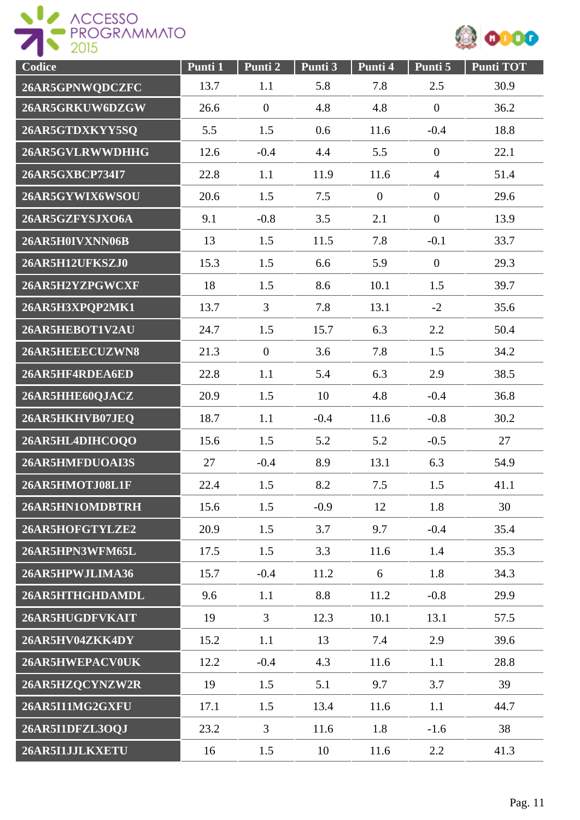



| Codice          | Punti 1 | Punti 2        | Punti 3 | Punti 4          | Punti 5          | <b>Punti TOT</b> |
|-----------------|---------|----------------|---------|------------------|------------------|------------------|
| 26AR5GPNWQDCZFC | 13.7    | 1.1            | 5.8     | 7.8              | 2.5              | 30.9             |
| 26AR5GRKUW6DZGW | 26.6    | $\overline{0}$ | 4.8     | 4.8              | $\overline{0}$   | 36.2             |
| 26AR5GTDXKYY5SQ | 5.5     | 1.5            | 0.6     | 11.6             | $-0.4$           | 18.8             |
| 26AR5GVLRWWDHHG | 12.6    | $-0.4$         | 4.4     | 5.5              | $\overline{0}$   | 22.1             |
| 26AR5GXBCP734I7 | 22.8    | 1.1            | 11.9    | 11.6             | $\overline{4}$   | 51.4             |
| 26AR5GYWIX6WSOU | 20.6    | 1.5            | 7.5     | $\boldsymbol{0}$ | $\boldsymbol{0}$ | 29.6             |
| 26AR5GZFYSJXO6A | 9.1     | $-0.8$         | 3.5     | 2.1              | $\boldsymbol{0}$ | 13.9             |
| 26AR5H0IVXNN06B | 13      | 1.5            | 11.5    | 7.8              | $-0.1$           | 33.7             |
| 26AR5H12UFKSZJ0 | 15.3    | 1.5            | 6.6     | 5.9              | $\overline{0}$   | 29.3             |
| 26AR5H2YZPGWCXF | 18      | 1.5            | 8.6     | 10.1             | 1.5              | 39.7             |
| 26AR5H3XPQP2MK1 | 13.7    | $\overline{3}$ | 7.8     | 13.1             | $-2$             | 35.6             |
| 26AR5HEBOT1V2AU | 24.7    | 1.5            | 15.7    | 6.3              | 2.2              | 50.4             |
| 26AR5HEEECUZWN8 | 21.3    | $\overline{0}$ | 3.6     | 7.8              | 1.5              | 34.2             |
| 26AR5HF4RDEA6ED | 22.8    | 1.1            | 5.4     | 6.3              | 2.9              | 38.5             |
| 26AR5HHE60QJACZ | 20.9    | 1.5            | 10      | 4.8              | $-0.4$           | 36.8             |
| 26AR5HKHVB07JEQ | 18.7    | 1.1            | $-0.4$  | 11.6             | $-0.8$           | 30.2             |
| 26AR5HL4DIHCOQO | 15.6    | 1.5            | 5.2     | 5.2              | $-0.5$           | 27               |
| 26AR5HMFDUOAI3S | 27      | $-0.4$         | 8.9     | 13.1             | 6.3              | 54.9             |
| 26AR5HMOTJ08L1F | 22.4    | 1.5            | 8.2     | 7.5              | 1.5              | 41.1             |
| 26AR5HN1OMDBTRH | 15.6    | 1.5            | $-0.9$  | 12               | 1.8              | 30               |
| 26AR5HOFGTYLZE2 | 20.9    | 1.5            | 3.7     | 9.7              | $-0.4$           | 35.4             |
| 26AR5HPN3WFM65L | 17.5    | 1.5            | 3.3     | 11.6             | 1.4              | 35.3             |
| 26AR5HPWJLIMA36 | 15.7    | $-0.4$         | 11.2    | 6                | 1.8              | 34.3             |
| 26AR5HTHGHDAMDL | 9.6     | 1.1            | 8.8     | 11.2             | $-0.8$           | 29.9             |
| 26AR5HUGDFVKAIT | 19      | $\overline{3}$ | 12.3    | 10.1             | 13.1             | 57.5             |
| 26AR5HV04ZKK4DY | 15.2    | 1.1            | 13      | 7.4              | 2.9              | 39.6             |
| 26AR5HWEPACV0UK | 12.2    | $-0.4$         | 4.3     | 11.6             | 1.1              | 28.8             |
| 26AR5HZQCYNZW2R | 19      | 1.5            | 5.1     | 9.7              | 3.7              | 39               |
| 26AR5I11MG2GXFU | 17.1    | 1.5            | 13.4    | 11.6             | 1.1              | 44.7             |
| 26AR5I1DFZL3OQJ | 23.2    | 3              | 11.6    | 1.8              | $-1.6$           | 38               |
| 26AR5I1JJLKXETU | 16      | 1.5            | 10      | 11.6             | 2.2              | 41.3             |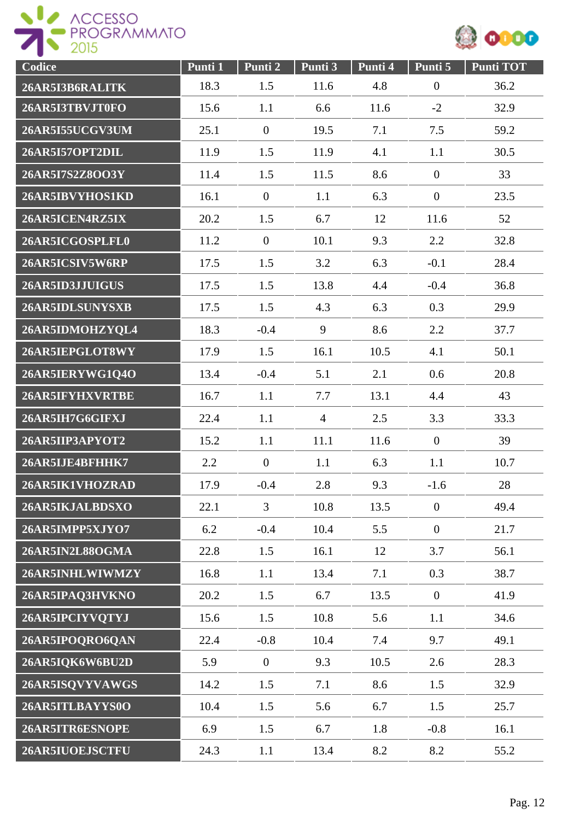



| Codice          | Punti 1 | Punti 2          | Punti 3        | Punti 4 | Punti 5        | <b>Punti TOT</b> |
|-----------------|---------|------------------|----------------|---------|----------------|------------------|
| 26AR5I3B6RALITK | 18.3    | 1.5              | 11.6           | 4.8     | $\overline{0}$ | 36.2             |
| 26AR5I3TBVJT0FO | 15.6    | 1.1              | 6.6            | 11.6    | $-2$           | 32.9             |
| 26AR5I55UCGV3UM | 25.1    | $\boldsymbol{0}$ | 19.5           | 7.1     | 7.5            | 59.2             |
| 26AR5I57OPT2DIL | 11.9    | 1.5              | 11.9           | 4.1     | 1.1            | 30.5             |
| 26AR5I7S2Z8OO3Y | 11.4    | 1.5              | 11.5           | 8.6     | $\overline{0}$ | 33               |
| 26AR5IBVYHOS1KD | 16.1    | $\boldsymbol{0}$ | 1.1            | 6.3     | $\mathbf{0}$   | 23.5             |
| 26AR5ICEN4RZ5IX | 20.2    | 1.5              | 6.7            | 12      | 11.6           | 52               |
| 26AR5ICGOSPLFL0 | 11.2    | $\overline{0}$   | 10.1           | 9.3     | 2.2            | 32.8             |
| 26AR5ICSIV5W6RP | 17.5    | 1.5              | 3.2            | 6.3     | $-0.1$         | 28.4             |
| 26AR5ID3JJUIGUS | 17.5    | 1.5              | 13.8           | 4.4     | $-0.4$         | 36.8             |
| 26AR5IDLSUNYSXB | 17.5    | 1.5              | 4.3            | 6.3     | 0.3            | 29.9             |
| 26AR5IDMOHZYQL4 | 18.3    | $-0.4$           | 9              | 8.6     | 2.2            | 37.7             |
| 26AR5IEPGLOT8WY | 17.9    | 1.5              | 16.1           | 10.5    | 4.1            | 50.1             |
| 26AR5IERYWG1Q4O | 13.4    | $-0.4$           | 5.1            | 2.1     | 0.6            | 20.8             |
| 26AR5IFYHXVRTBE | 16.7    | 1.1              | 7.7            | 13.1    | 4.4            | 43               |
| 26AR5IH7G6GIFXJ | 22.4    | 1.1              | $\overline{4}$ | 2.5     | 3.3            | 33.3             |
| 26AR5IIP3APYOT2 | 15.2    | 1.1              | 11.1           | 11.6    | $\mathbf{0}$   | 39               |
| 26AR5IJE4BFHHK7 | 2.2     | $\overline{0}$   | 1.1            | 6.3     | 1.1            | 10.7             |
| 26AR5IK1VHOZRAD | 17.9    | $-0.4$           | 2.8            | 9.3     | $-1.6$         | 28               |
| 26AR5IKJALBDSXO | 22.1    | $\overline{3}$   | 10.8           | 13.5    | $\mathbf{0}$   | 49.4             |
| 26AR5IMPP5XJYO7 | 6.2     | $-0.4$           | 10.4           | 5.5     | $\overline{0}$ | 21.7             |
| 26AR5IN2L88OGMA | 22.8    | 1.5              | 16.1           | 12      | 3.7            | 56.1             |
| 26AR5INHLWIWMZY | 16.8    | 1.1              | 13.4           | 7.1     | 0.3            | 38.7             |
| 26AR5IPAQ3HVKNO | 20.2    | 1.5              | 6.7            | 13.5    | $\mathbf{0}$   | 41.9             |
| 26AR5IPCIYVQTYJ | 15.6    | 1.5              | 10.8           | 5.6     | 1.1            | 34.6             |
| 26AR5IPOQRO6QAN | 22.4    | $-0.8$           | 10.4           | 7.4     | 9.7            | 49.1             |
| 26AR5IQK6W6BU2D | 5.9     | $\overline{0}$   | 9.3            | 10.5    | 2.6            | 28.3             |
| 26AR5ISQVYVAWGS | 14.2    | 1.5              | 7.1            | 8.6     | 1.5            | 32.9             |
| 26AR5ITLBAYYS0O | 10.4    | 1.5              | 5.6            | 6.7     | 1.5            | 25.7             |
| 26AR5ITR6ESNOPE | 6.9     | 1.5              | 6.7            | 1.8     | $-0.8$         | 16.1             |
| 26AR5IUOEJSCTFU | 24.3    | 1.1              | 13.4           | 8.2     | 8.2            | 55.2             |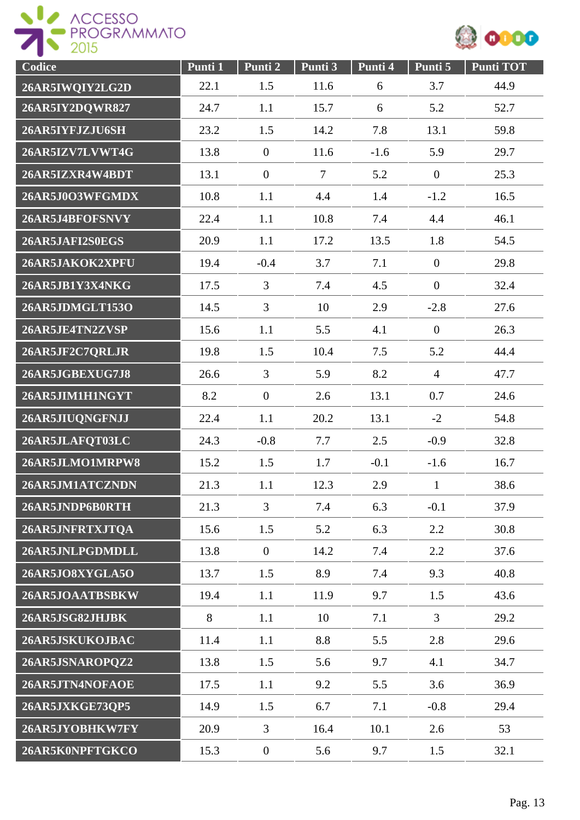



| Codice          | Punti 1 | Punti 2          | Punti 3 | Punti 4 | Punti 5          | <b>Punti TOT</b> |
|-----------------|---------|------------------|---------|---------|------------------|------------------|
| 26AR5IWQIY2LG2D | 22.1    | 1.5              | 11.6    | 6       | 3.7              | 44.9             |
| 26AR5IY2DQWR827 | 24.7    | 1.1              | 15.7    | 6       | 5.2              | 52.7             |
| 26AR5IYFJZJU6SH | 23.2    | 1.5              | 14.2    | 7.8     | 13.1             | 59.8             |
| 26AR5IZV7LVWT4G | 13.8    | $\mathbf{0}$     | 11.6    | $-1.6$  | 5.9              | 29.7             |
| 26AR5IZXR4W4BDT | 13.1    | $\mathbf{0}$     | $\tau$  | 5.2     | $\boldsymbol{0}$ | 25.3             |
| 26AR5J0O3WFGMDX | 10.8    | 1.1              | 4.4     | 1.4     | $-1.2$           | 16.5             |
| 26AR5J4BFOFSNVY | 22.4    | 1.1              | 10.8    | 7.4     | 4.4              | 46.1             |
| 26AR5JAFI2S0EGS | 20.9    | 1.1              | 17.2    | 13.5    | 1.8              | 54.5             |
| 26AR5JAKOK2XPFU | 19.4    | $-0.4$           | 3.7     | 7.1     | $\overline{0}$   | 29.8             |
| 26AR5JB1Y3X4NKG | 17.5    | $\overline{3}$   | 7.4     | 4.5     | $\overline{0}$   | 32.4             |
| 26AR5JDMGLT153O | 14.5    | $\overline{3}$   | 10      | 2.9     | $-2.8$           | 27.6             |
| 26AR5JE4TN2ZVSP | 15.6    | 1.1              | 5.5     | 4.1     | $\overline{0}$   | 26.3             |
| 26AR5JF2C7QRLJR | 19.8    | 1.5              | 10.4    | 7.5     | 5.2              | 44.4             |
| 26AR5JGBEXUG7J8 | 26.6    | $\overline{3}$   | 5.9     | 8.2     | $\overline{4}$   | 47.7             |
| 26AR5JIM1H1NGYT | 8.2     | $\overline{0}$   | 2.6     | 13.1    | 0.7              | 24.6             |
| 26AR5JIUQNGFNJJ | 22.4    | 1.1              | 20.2    | 13.1    | $-2$             | 54.8             |
| 26AR5JLAFQT03LC | 24.3    | $-0.8$           | 7.7     | 2.5     | $-0.9$           | 32.8             |
| 26AR5JLMO1MRPW8 | 15.2    | 1.5              | 1.7     | $-0.1$  | $-1.6$           | 16.7             |
| 26AR5JM1ATCZNDN | 21.3    | 1.1              | 12.3    | 2.9     | $\mathbf{1}$     | 38.6             |
| 26AR5JNDP6B0RTH | 21.3    | $\overline{3}$   | 7.4     | 6.3     | $-0.1$           | 37.9             |
| 26AR5JNFRTXJTQA | 15.6    | 1.5              | 5.2     | 6.3     | 2.2              | 30.8             |
| 26AR5JNLPGDMDLL | 13.8    | $\overline{0}$   | 14.2    | 7.4     | 2.2              | 37.6             |
| 26AR5JO8XYGLA5O | 13.7    | 1.5              | 8.9     | 7.4     | 9.3              | 40.8             |
| 26AR5JOAATBSBKW | 19.4    | 1.1              | 11.9    | 9.7     | 1.5              | 43.6             |
| 26AR5JSG82JHJBK | 8       | 1.1              | 10      | 7.1     | $\overline{3}$   | 29.2             |
| 26AR5JSKUKOJBAC | 11.4    | 1.1              | 8.8     | 5.5     | 2.8              | 29.6             |
| 26AR5JSNAROPQZ2 | 13.8    | 1.5              | 5.6     | 9.7     | 4.1              | 34.7             |
| 26AR5JTN4NOFAOE | 17.5    | 1.1              | 9.2     | 5.5     | 3.6              | 36.9             |
| 26AR5JXKGE73QP5 | 14.9    | 1.5              | 6.7     | 7.1     | $-0.8$           | 29.4             |
| 26AR5JYOBHKW7FY | 20.9    | 3                | 16.4    | 10.1    | 2.6              | 53               |
| 26AR5K0NPFTGKCO | 15.3    | $\boldsymbol{0}$ | 5.6     | 9.7     | 1.5              | 32.1             |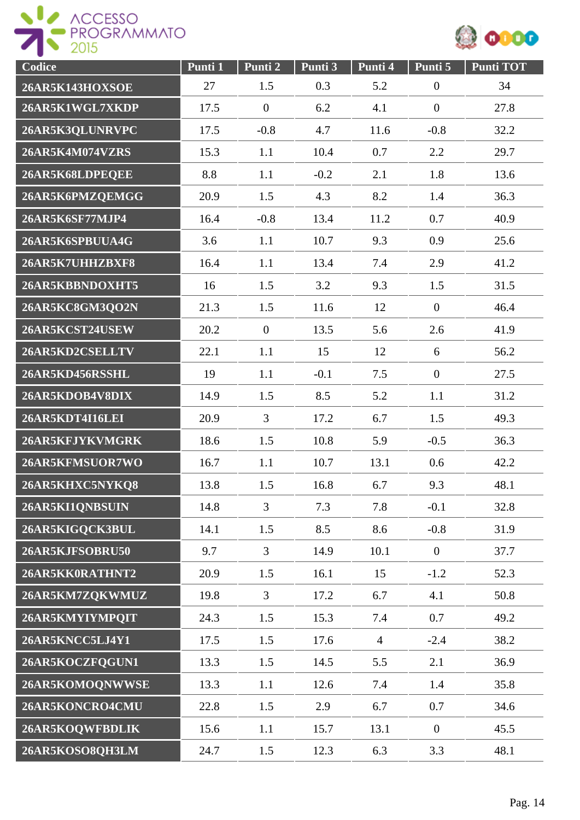



| Codice          | Punti 1 | Punti 2        | Punti 3 | Punti 4        | Punti 5        | <b>Punti TOT</b> |
|-----------------|---------|----------------|---------|----------------|----------------|------------------|
| 26AR5K143HOXSOE | 27      | 1.5            | 0.3     | 5.2            | $\overline{0}$ | 34               |
| 26AR5K1WGL7XKDP | 17.5    | $\overline{0}$ | 6.2     | 4.1            | $\overline{0}$ | 27.8             |
| 26AR5K3QLUNRVPC | 17.5    | $-0.8$         | 4.7     | 11.6           | $-0.8$         | 32.2             |
| 26AR5K4M074VZRS | 15.3    | 1.1            | 10.4    | 0.7            | 2.2            | 29.7             |
| 26AR5K68LDPEQEE | 8.8     | 1.1            | $-0.2$  | 2.1            | 1.8            | 13.6             |
| 26AR5K6PMZQEMGG | 20.9    | 1.5            | 4.3     | 8.2            | 1.4            | 36.3             |
| 26AR5K6SF77MJP4 | 16.4    | $-0.8$         | 13.4    | 11.2           | 0.7            | 40.9             |
| 26AR5K6SPBUUA4G | 3.6     | 1.1            | 10.7    | 9.3            | 0.9            | 25.6             |
| 26AR5K7UHHZBXF8 | 16.4    | 1.1            | 13.4    | 7.4            | 2.9            | 41.2             |
| 26AR5KBBNDOXHT5 | 16      | 1.5            | 3.2     | 9.3            | 1.5            | 31.5             |
| 26AR5KC8GM3QO2N | 21.3    | 1.5            | 11.6    | 12             | $\overline{0}$ | 46.4             |
| 26AR5KCST24USEW | 20.2    | $\mathbf{0}$   | 13.5    | 5.6            | 2.6            | 41.9             |
| 26AR5KD2CSELLTV | 22.1    | 1.1            | 15      | 12             | 6              | 56.2             |
| 26AR5KD456RSSHL | 19      | 1.1            | $-0.1$  | 7.5            | $\overline{0}$ | 27.5             |
| 26AR5KDOB4V8DIX | 14.9    | 1.5            | 8.5     | 5.2            | 1.1            | 31.2             |
| 26AR5KDT4I16LEI | 20.9    | $\overline{3}$ | 17.2    | 6.7            | 1.5            | 49.3             |
| 26AR5KFJYKVMGRK | 18.6    | 1.5            | 10.8    | 5.9            | $-0.5$         | 36.3             |
| 26AR5KFMSUOR7WO | 16.7    | 1.1            | 10.7    | 13.1           | 0.6            | 42.2             |
| 26AR5KHXC5NYKQ8 | 13.8    | 1.5            | 16.8    | 6.7            | 9.3            | 48.1             |
| 26AR5KI1QNBSUIN | 14.8    | $\overline{3}$ | 7.3     | 7.8            | $-0.1$         | 32.8             |
| 26AR5KIGQCK3BUL | 14.1    | 1.5            | 8.5     | 8.6            | $-0.8$         | 31.9             |
| 26AR5KJFSOBRU50 | 9.7     | $\overline{3}$ | 14.9    | 10.1           | $\overline{0}$ | 37.7             |
| 26AR5KK0RATHNT2 | 20.9    | 1.5            | 16.1    | 15             | $-1.2$         | 52.3             |
| 26AR5KM7ZQKWMUZ | 19.8    | $\overline{3}$ | 17.2    | 6.7            | 4.1            | 50.8             |
| 26AR5KMYIYMPOIT | 24.3    | 1.5            | 15.3    | 7.4            | 0.7            | 49.2             |
| 26AR5KNCC5LJ4Y1 | 17.5    | 1.5            | 17.6    | $\overline{4}$ | $-2.4$         | 38.2             |
| 26AR5KOCZFQGUN1 | 13.3    | 1.5            | 14.5    | 5.5            | 2.1            | 36.9             |
| 26AR5KOMOQNWWSE | 13.3    | 1.1            | 12.6    | 7.4            | 1.4            | 35.8             |
| 26AR5KONCRO4CMU | 22.8    | 1.5            | 2.9     | 6.7            | 0.7            | 34.6             |
| 26AR5KOQWFBDLIK | 15.6    | 1.1            | 15.7    | 13.1           | $\overline{0}$ | 45.5             |
| 26AR5KOSO8QH3LM | 24.7    | 1.5            | 12.3    | 6.3            | 3.3            | 48.1             |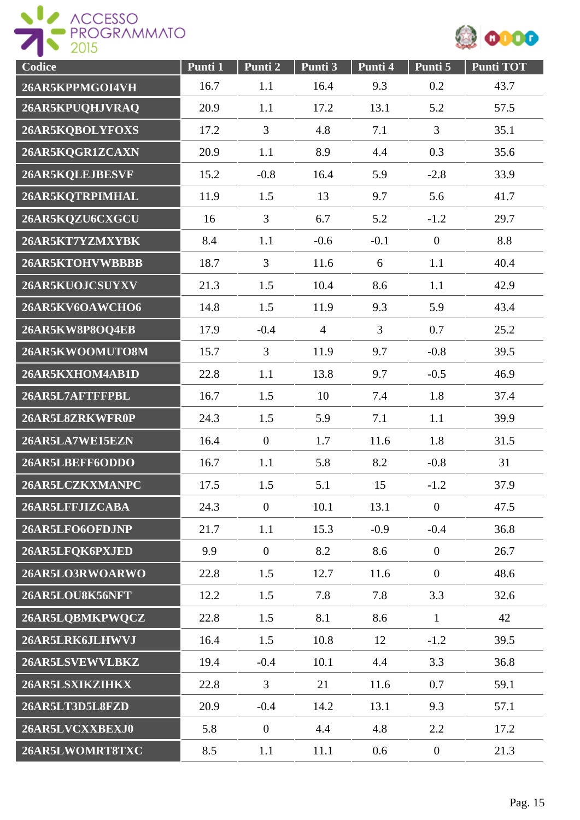



| Codice          | Punti 1 | Punti 2        | Punti 3        | Punti 4        | Punti 5          | <b>Punti TOT</b> |
|-----------------|---------|----------------|----------------|----------------|------------------|------------------|
| 26AR5KPPMGOI4VH | 16.7    | 1.1            | 16.4           | 9.3            | 0.2              | 43.7             |
| 26AR5KPUQHJVRAQ | 20.9    | 1.1            | 17.2           | 13.1           | 5.2              | 57.5             |
| 26AR5KQBOLYFOXS | 17.2    | 3              | 4.8            | 7.1            | 3                | 35.1             |
| 26AR5KQGR1ZCAXN | 20.9    | 1.1            | 8.9            | 4.4            | 0.3              | 35.6             |
| 26AR5KQLEJBESVF | 15.2    | $-0.8$         | 16.4           | 5.9            | $-2.8$           | 33.9             |
| 26AR5KQTRPIMHAL | 11.9    | 1.5            | 13             | 9.7            | 5.6              | 41.7             |
| 26AR5KQZU6CXGCU | 16      | $\overline{3}$ | 6.7            | 5.2            | $-1.2$           | 29.7             |
| 26AR5KT7YZMXYBK | 8.4     | 1.1            | $-0.6$         | $-0.1$         | $\boldsymbol{0}$ | 8.8              |
| 26AR5KTOHVWBBBB | 18.7    | $\overline{3}$ | 11.6           | 6              | 1.1              | 40.4             |
| 26AR5KUOJCSUYXV | 21.3    | 1.5            | 10.4           | 8.6            | 1.1              | 42.9             |
| 26AR5KV6OAWCHO6 | 14.8    | 1.5            | 11.9           | 9.3            | 5.9              | 43.4             |
| 26AR5KW8P8OQ4EB | 17.9    | $-0.4$         | $\overline{4}$ | $\overline{3}$ | 0.7              | 25.2             |
| 26AR5KWOOMUTO8M | 15.7    | $\overline{3}$ | 11.9           | 9.7            | $-0.8$           | 39.5             |
| 26AR5KXHOM4AB1D | 22.8    | 1.1            | 13.8           | 9.7            | $-0.5$           | 46.9             |
| 26AR5L7AFTFFPBL | 16.7    | 1.5            | 10             | 7.4            | 1.8              | 37.4             |
| 26AR5L8ZRKWFR0P | 24.3    | 1.5            | 5.9            | 7.1            | 1.1              | 39.9             |
| 26AR5LA7WE15EZN | 16.4    | $\overline{0}$ | 1.7            | 11.6           | 1.8              | 31.5             |
| 26AR5LBEFF6ODDO | 16.7    | 1.1            | 5.8            | 8.2            | $-0.8$           | 31               |
| 26AR5LCZKXMANPC | 17.5    | 1.5            | 5.1            | 15             | $-1.2$           | 37.9             |
| 26AR5LFFJIZCABA | 24.3    | $\mathbf{0}$   | 10.1           | 13.1           | $\overline{0}$   | 47.5             |
| 26AR5LFO6OFDJNP | 21.7    | 1.1            | 15.3           | $-0.9$         | $-0.4$           | 36.8             |
| 26AR5LFQK6PXJED | 9.9     | $\overline{0}$ | 8.2            | 8.6            | $\boldsymbol{0}$ | 26.7             |
| 26AR5LO3RWOARWO | 22.8    | 1.5            | 12.7           | 11.6           | $\overline{0}$   | 48.6             |
| 26AR5LOU8K56NFT | 12.2    | 1.5            | 7.8            | 7.8            | 3.3              | 32.6             |
| 26AR5LQBMKPWQCZ | 22.8    | 1.5            | 8.1            | 8.6            | $\mathbf{1}$     | 42               |
| 26AR5LRK6JLHWVJ | 16.4    | 1.5            | 10.8           | 12             | $-1.2$           | 39.5             |
| 26AR5LSVEWVLBKZ | 19.4    | $-0.4$         | 10.1           | 4.4            | 3.3              | 36.8             |
| 26AR5LSXIKZIHKX | 22.8    | $\overline{3}$ | 21             | 11.6           | 0.7              | 59.1             |
| 26AR5LT3D5L8FZD | 20.9    | $-0.4$         | 14.2           | 13.1           | 9.3              | 57.1             |
| 26AR5LVCXXBEXJ0 | 5.8     | $\mathbf{0}$   | 4.4            | 4.8            | 2.2              | 17.2             |
| 26AR5LWOMRT8TXC | 8.5     | 1.1            | 11.1           | 0.6            | $\overline{0}$   | 21.3             |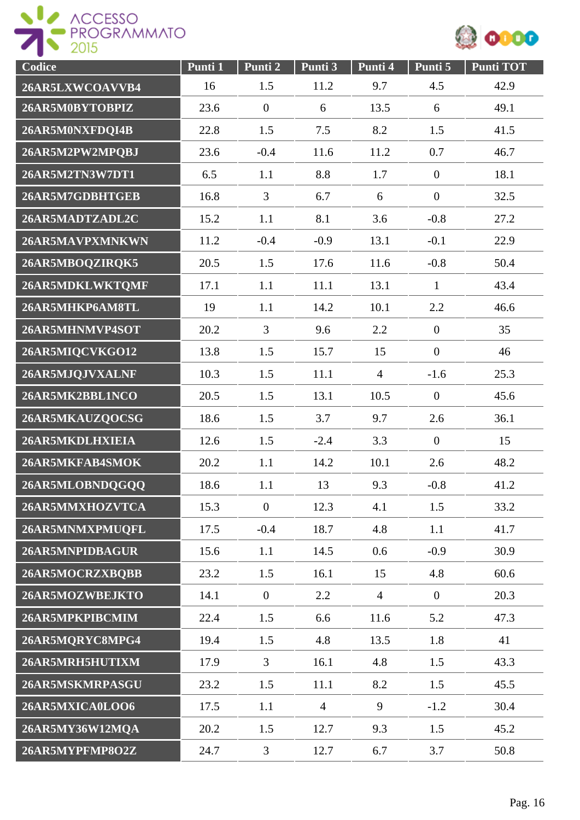



| Codice          | Punti 1 | Punti 2        | Punti 3        | Punti 4        | Punti 5          | <b>Punti TOT</b> |
|-----------------|---------|----------------|----------------|----------------|------------------|------------------|
| 26AR5LXWCOAVVB4 | 16      | 1.5            | 11.2           | 9.7            | 4.5              | 42.9             |
| 26AR5M0BYTOBPIZ | 23.6    | $\overline{0}$ | 6              | 13.5           | 6                | 49.1             |
| 26AR5M0NXFDQI4B | 22.8    | 1.5            | 7.5            | 8.2            | 1.5              | 41.5             |
| 26AR5M2PW2MPQBJ | 23.6    | $-0.4$         | 11.6           | 11.2           | 0.7              | 46.7             |
| 26AR5M2TN3W7DT1 | 6.5     | 1.1            | 8.8            | 1.7            | $\overline{0}$   | 18.1             |
| 26AR5M7GDBHTGEB | 16.8    | $\overline{3}$ | 6.7            | 6              | $\boldsymbol{0}$ | 32.5             |
| 26AR5MADTZADL2C | 15.2    | 1.1            | 8.1            | 3.6            | $-0.8$           | 27.2             |
| 26AR5MAVPXMNKWN | 11.2    | $-0.4$         | $-0.9$         | 13.1           | $-0.1$           | 22.9             |
| 26AR5MBOQZIRQK5 | 20.5    | 1.5            | 17.6           | 11.6           | $-0.8$           | 50.4             |
| 26AR5MDKLWKTQMF | 17.1    | 1.1            | 11.1           | 13.1           | $\mathbf{1}$     | 43.4             |
| 26AR5MHKP6AM8TL | 19      | 1.1            | 14.2           | 10.1           | 2.2              | 46.6             |
| 26AR5MHNMVP4SOT | 20.2    | $\overline{3}$ | 9.6            | 2.2            | $\mathbf{0}$     | 35               |
| 26AR5MIQCVKGO12 | 13.8    | 1.5            | 15.7           | 15             | $\mathbf{0}$     | 46               |
| 26AR5MJQJVXALNF | 10.3    | 1.5            | 11.1           | $\overline{4}$ | $-1.6$           | 25.3             |
| 26AR5MK2BBL1NCO | 20.5    | 1.5            | 13.1           | 10.5           | $\mathbf{0}$     | 45.6             |
| 26AR5MKAUZQOCSG | 18.6    | 1.5            | 3.7            | 9.7            | 2.6              | 36.1             |
| 26AR5MKDLHXIEIA | 12.6    | 1.5            | $-2.4$         | 3.3            | $\overline{0}$   | 15               |
| 26AR5MKFAB4SMOK | 20.2    | 1.1            | 14.2           | 10.1           | 2.6              | 48.2             |
| 26AR5MLOBNDQGQQ | 18.6    | 1.1            | 13             | 9.3            | $-0.8$           | 41.2             |
| 26AR5MMXHOZVTCA | 15.3    | $\overline{0}$ | 12.3           | 4.1            | 1.5              | 33.2             |
| 26AR5MNMXPMUQFL | 17.5    | $-0.4$         | 18.7           | 4.8            | 1.1              | 41.7             |
| 26AR5MNPIDBAGUR | 15.6    | 1.1            | 14.5           | 0.6            | $-0.9$           | 30.9             |
| 26AR5MOCRZXBQBB | 23.2    | 1.5            | 16.1           | 15             | 4.8              | 60.6             |
| 26AR5MOZWBEJKTO | 14.1    | $\overline{0}$ | 2.2            | $\overline{4}$ | $\mathbf{0}$     | 20.3             |
| 26AR5MPKPIBCMIM | 22.4    | 1.5            | 6.6            | 11.6           | 5.2              | 47.3             |
| 26AR5MQRYC8MPG4 | 19.4    | 1.5            | 4.8            | 13.5           | 1.8              | 41               |
| 26AR5MRH5HUTIXM | 17.9    | $\overline{3}$ | 16.1           | 4.8            | 1.5              | 43.3             |
| 26AR5MSKMRPASGU | 23.2    | 1.5            | 11.1           | 8.2            | 1.5              | 45.5             |
| 26AR5MXICA0LOO6 | 17.5    | 1.1            | $\overline{4}$ | 9              | $-1.2$           | 30.4             |
| 26AR5MY36W12MQA | 20.2    | 1.5            | 12.7           | 9.3            | 1.5              | 45.2             |
| 26AR5MYPFMP8O2Z | 24.7    | $\overline{3}$ | 12.7           | 6.7            | 3.7              | 50.8             |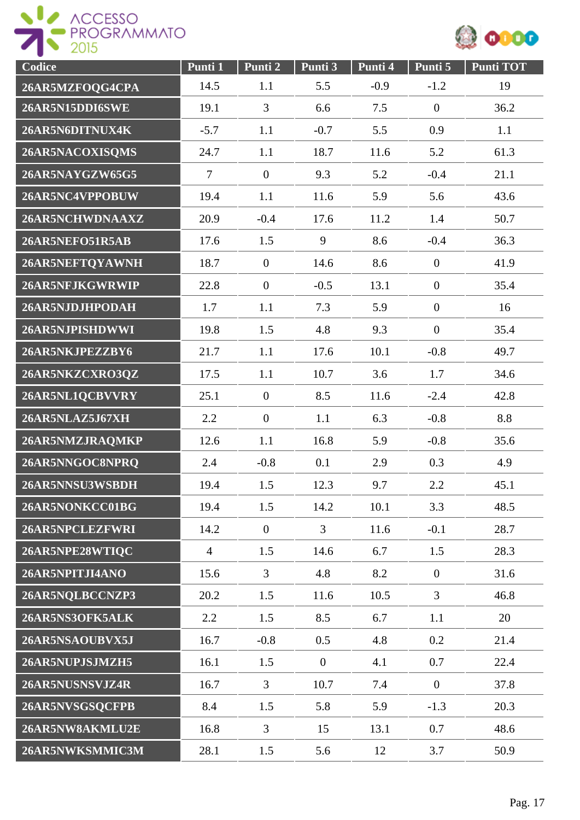



| Codice          | Punti 1        | Punti 2          | Punti 3        | Punti 4 | Punti 5          | Punti TOT |
|-----------------|----------------|------------------|----------------|---------|------------------|-----------|
| 26AR5MZFOQG4CPA | 14.5           | 1.1              | 5.5            | $-0.9$  | $-1.2$           | 19        |
| 26AR5N15DDI6SWE | 19.1           | 3                | 6.6            | 7.5     | $\overline{0}$   | 36.2      |
| 26AR5N6DITNUX4K | $-5.7$         | 1.1              | $-0.7$         | 5.5     | 0.9              | 1.1       |
| 26AR5NACOXISQMS | 24.7           | 1.1              | 18.7           | 11.6    | 5.2              | 61.3      |
| 26AR5NAYGZW65G5 | $\overline{7}$ | $\overline{0}$   | 9.3            | 5.2     | $-0.4$           | 21.1      |
| 26AR5NC4VPPOBUW | 19.4           | 1.1              | 11.6           | 5.9     | 5.6              | 43.6      |
| 26AR5NCHWDNAAXZ | 20.9           | $-0.4$           | 17.6           | 11.2    | 1.4              | 50.7      |
| 26AR5NEFO51R5AB | 17.6           | 1.5              | 9              | 8.6     | $-0.4$           | 36.3      |
| 26AR5NEFTQYAWNH | 18.7           | $\overline{0}$   | 14.6           | 8.6     | $\boldsymbol{0}$ | 41.9      |
| 26AR5NFJKGWRWIP | 22.8           | $\overline{0}$   | $-0.5$         | 13.1    | $\boldsymbol{0}$ | 35.4      |
| 26AR5NJDJHPODAH | 1.7            | 1.1              | 7.3            | 5.9     | $\boldsymbol{0}$ | 16        |
| 26AR5NJPISHDWWI | 19.8           | 1.5              | 4.8            | 9.3     | $\boldsymbol{0}$ | 35.4      |
| 26AR5NKJPEZZBY6 | 21.7           | 1.1              | 17.6           | 10.1    | $-0.8$           | 49.7      |
| 26AR5NKZCXRO3QZ | 17.5           | 1.1              | 10.7           | 3.6     | 1.7              | 34.6      |
| 26AR5NL1QCBVVRY | 25.1           | $\boldsymbol{0}$ | 8.5            | 11.6    | $-2.4$           | 42.8      |
| 26AR5NLAZ5J67XH | 2.2            | $\overline{0}$   | 1.1            | 6.3     | $-0.8$           | 8.8       |
| 26AR5NMZJRAQMKP | 12.6           | 1.1              | 16.8           | 5.9     | $-0.8$           | 35.6      |
| 26AR5NNGOC8NPRQ | 2.4            | $-0.8$           | 0.1            | 2.9     | 0.3              | 4.9       |
| 26AR5NNSU3WSBDH | 19.4           | 1.5              | 12.3           | 9.7     | 2.2              | 45.1      |
| 26AR5NONKCC01BG | 19.4           | 1.5              | 14.2           | 10.1    | 3.3              | 48.5      |
| 26AR5NPCLEZFWRI | 14.2           | $\boldsymbol{0}$ | $\overline{3}$ | 11.6    | $-0.1$           | 28.7      |
| 26AR5NPE28WTIQC | $\overline{4}$ | 1.5              | 14.6           | 6.7     | 1.5              | 28.3      |
| 26AR5NPITJI4ANO | 15.6           | $\overline{3}$   | 4.8            | 8.2     | $\mathbf{0}$     | 31.6      |
| 26AR5NQLBCCNZP3 | 20.2           | 1.5              | 11.6           | 10.5    | $\overline{3}$   | 46.8      |
| 26AR5NS3OFK5ALK | 2.2            | 1.5              | 8.5            | 6.7     | 1.1              | 20        |
| 26AR5NSAOUBVX5J | 16.7           | $-0.8$           | 0.5            | 4.8     | 0.2              | 21.4      |
| 26AR5NUPJSJMZH5 | 16.1           | 1.5              | $\overline{0}$ | 4.1     | 0.7              | 22.4      |
| 26AR5NUSNSVJZ4R | 16.7           | 3                | 10.7           | 7.4     | $\mathbf{0}$     | 37.8      |
| 26AR5NVSGSQCFPB | 8.4            | 1.5              | 5.8            | 5.9     | $-1.3$           | 20.3      |
| 26AR5NW8AKMLU2E | 16.8           | $\overline{3}$   | 15             | 13.1    | 0.7              | 48.6      |
| 26AR5NWKSMMIC3M | 28.1           | 1.5              | 5.6            | 12      | 3.7              | 50.9      |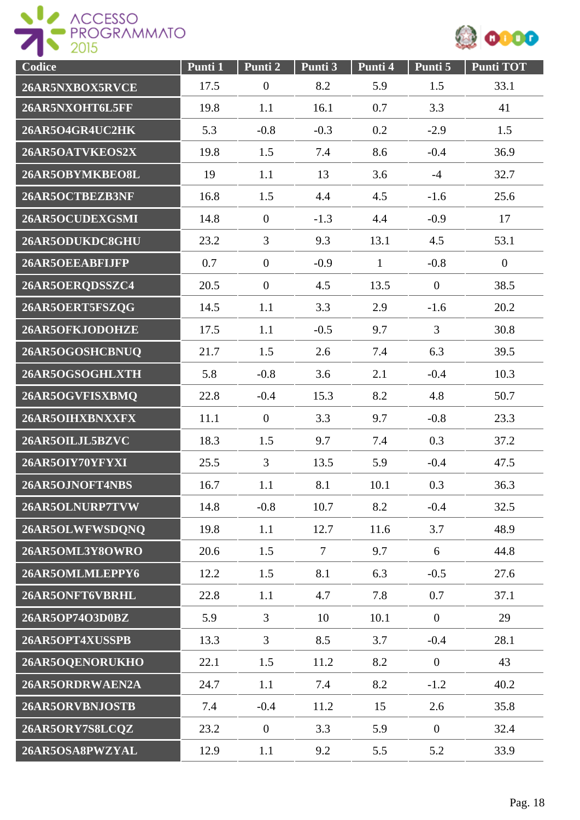



| Codice          | Punti 1 | Punti 2        | Punti 3        | Punti 4      | Punti 5        | <b>Punti TOT</b> |
|-----------------|---------|----------------|----------------|--------------|----------------|------------------|
| 26AR5NXBOX5RVCE | 17.5    | $\overline{0}$ | 8.2            | 5.9          | 1.5            | 33.1             |
| 26AR5NXOHT6L5FF | 19.8    | 1.1            | 16.1           | 0.7          | 3.3            | 41               |
| 26AR5O4GR4UC2HK | 5.3     | $-0.8$         | $-0.3$         | 0.2          | $-2.9$         | 1.5              |
| 26AR5OATVKEOS2X | 19.8    | 1.5            | 7.4            | 8.6          | $-0.4$         | 36.9             |
| 26AR5OBYMKBEO8L | 19      | 1.1            | 13             | 3.6          | $-4$           | 32.7             |
| 26AR5OCTBEZB3NF | 16.8    | 1.5            | 4.4            | 4.5          | $-1.6$         | 25.6             |
| 26AR5OCUDEXGSMI | 14.8    | $\mathbf{0}$   | $-1.3$         | 4.4          | $-0.9$         | 17               |
| 26AR5ODUKDC8GHU | 23.2    | $\overline{3}$ | 9.3            | 13.1         | 4.5            | 53.1             |
| 26AR5OEEABFIJFP | 0.7     | $\overline{0}$ | $-0.9$         | $\mathbf{1}$ | $-0.8$         | $\mathbf{0}$     |
| 26AR5OERQDSSZC4 | 20.5    | $\overline{0}$ | 4.5            | 13.5         | $\overline{0}$ | 38.5             |
| 26AR5OERT5FSZQG | 14.5    | 1.1            | 3.3            | 2.9          | $-1.6$         | 20.2             |
| 26AR5OFKJODOHZE | 17.5    | 1.1            | $-0.5$         | 9.7          | $\overline{3}$ | 30.8             |
| 26AR5OGOSHCBNUQ | 21.7    | 1.5            | 2.6            | 7.4          | 6.3            | 39.5             |
| 26AR5OGSOGHLXTH | 5.8     | $-0.8$         | 3.6            | 2.1          | $-0.4$         | 10.3             |
| 26AR5OGVFISXBMQ | 22.8    | $-0.4$         | 15.3           | 8.2          | 4.8            | 50.7             |
| 26AR5OIHXBNXXFX | 11.1    | $\overline{0}$ | 3.3            | 9.7          | $-0.8$         | 23.3             |
| 26AR5OILJL5BZVC | 18.3    | 1.5            | 9.7            | 7.4          | 0.3            | 37.2             |
| 26AR5OIY70YFYXI | 25.5    | $\overline{3}$ | 13.5           | 5.9          | $-0.4$         | 47.5             |
| 26AR5OJNOFT4NBS | 16.7    | 1.1            | 8.1            | 10.1         | 0.3            | 36.3             |
| 26AR5OLNURP7TVW | 14.8    | $-0.8$         | 10.7           | 8.2          | $-0.4$         | 32.5             |
| 26AR5OLWFWSDQNQ | 19.8    | 1.1            | 12.7           | 11.6         | 3.7            | 48.9             |
| 26AR5OML3Y8OWRO | 20.6    | 1.5            | $\overline{7}$ | 9.7          | 6              | 44.8             |
| 26AR5OMLMLEPPY6 | 12.2    | 1.5            | 8.1            | 6.3          | $-0.5$         | 27.6             |
| 26AR5ONFT6VBRHL | 22.8    | 1.1            | 4.7            | 7.8          | 0.7            | 37.1             |
| 26AR5OP74O3D0BZ | 5.9     | 3              | 10             | 10.1         | $\overline{0}$ | 29               |
| 26AR5OPT4XUSSPB | 13.3    | $\overline{3}$ | 8.5            | 3.7          | $-0.4$         | 28.1             |
| 26AR5OQENORUKHO | 22.1    | 1.5            | 11.2           | 8.2          | $\overline{0}$ | 43               |
| 26AR5ORDRWAEN2A | 24.7    | 1.1            | 7.4            | 8.2          | $-1.2$         | 40.2             |
| 26AR5ORVBNJOSTB | 7.4     | $-0.4$         | 11.2           | 15           | 2.6            | 35.8             |
| 26AR5ORY7S8LCQZ | 23.2    | $\overline{0}$ | 3.3            | 5.9          | $\overline{0}$ | 32.4             |
| 26AR5OSA8PWZYAL | 12.9    | 1.1            | 9.2            | 5.5          | 5.2            | 33.9             |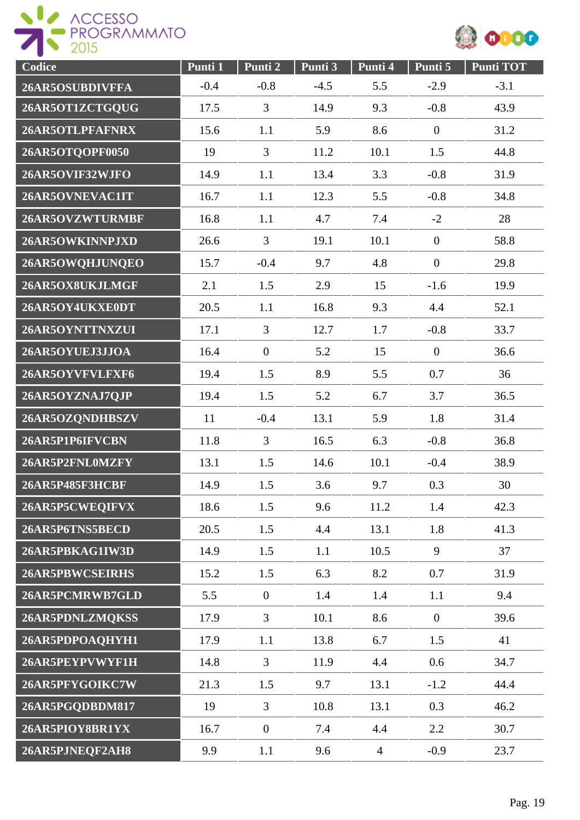



| Codice          | Punti 1 | Punti 2        | Punti 3 | Punti 4        | Punti 5        | <b>Punti TOT</b> |
|-----------------|---------|----------------|---------|----------------|----------------|------------------|
| 26AR5OSUBDIVFFA | $-0.4$  | $-0.8$         | $-4.5$  | 5.5            | $-2.9$         | $-3.1$           |
| 26AR5OT1ZCTGQUG | 17.5    | 3              | 14.9    | 9.3            | $-0.8$         | 43.9             |
| 26AR5OTLPFAFNRX | 15.6    | 1.1            | 5.9     | 8.6            | $\mathbf{0}$   | 31.2             |
| 26AR5OTQOPF0050 | 19      | $\overline{3}$ | 11.2    | 10.1           | 1.5            | 44.8             |
| 26AR5OVIF32WJFO | 14.9    | 1.1            | 13.4    | 3.3            | $-0.8$         | 31.9             |
| 26AR5OVNEVAC1IT | 16.7    | 1.1            | 12.3    | 5.5            | $-0.8$         | 34.8             |
| 26AR5OVZWTURMBF | 16.8    | 1.1            | 4.7     | 7.4            | $-2$           | 28               |
| 26AR5OWKINNPJXD | 26.6    | $\overline{3}$ | 19.1    | 10.1           | $\overline{0}$ | 58.8             |
| 26AR5OWQHJUNQEO | 15.7    | $-0.4$         | 9.7     | 4.8            | $\mathbf{0}$   | 29.8             |
| 26AR5OX8UKJLMGF | 2.1     | 1.5            | 2.9     | 15             | $-1.6$         | 19.9             |
| 26AR5OY4UKXE0DT | 20.5    | 1.1            | 16.8    | 9.3            | 4.4            | 52.1             |
| 26AR5OYNTTNXZUI | 17.1    | $\overline{3}$ | 12.7    | 1.7            | $-0.8$         | 33.7             |
| 26AR5OYUEJ3JJOA | 16.4    | $\mathbf{0}$   | 5.2     | 15             | $\mathbf{0}$   | 36.6             |
| 26AR5OYVFVLFXF6 | 19.4    | 1.5            | 8.9     | 5.5            | 0.7            | 36               |
| 26AR5OYZNAJ7QJP | 19.4    | 1.5            | 5.2     | 6.7            | 3.7            | 36.5             |
| 26AR5OZQNDHBSZV | 11      | $-0.4$         | 13.1    | 5.9            | 1.8            | 31.4             |
| 26AR5P1P6IFVCBN | 11.8    | 3              | 16.5    | 6.3            | $-0.8$         | 36.8             |
| 26AR5P2FNL0MZFY | 13.1    | 1.5            | 14.6    | 10.1           | $-0.4$         | 38.9             |
| 26AR5P485F3HCBF | 14.9    | 1.5            | 3.6     | 9.7            | 0.3            | 30               |
| 26AR5P5CWEQIFVX | 18.6    | 1.5            | 9.6     | 11.2           | 1.4            | 42.3             |
| 26AR5P6TNS5BECD | 20.5    | 1.5            | 4.4     | 13.1           | 1.8            | 41.3             |
| 26AR5PBKAG1IW3D | 14.9    | 1.5            | 1.1     | 10.5           | 9              | 37               |
| 26AR5PBWCSEIRHS | 15.2    | 1.5            | 6.3     | 8.2            | 0.7            | 31.9             |
| 26AR5PCMRWB7GLD | 5.5     | $\overline{0}$ | 1.4     | 1.4            | 1.1            | 9.4              |
| 26AR5PDNLZMQKSS | 17.9    | $\overline{3}$ | 10.1    | 8.6            | $\overline{0}$ | 39.6             |
| 26AR5PDPOAQHYH1 | 17.9    | 1.1            | 13.8    | 6.7            | 1.5            | 41               |
| 26AR5PEYPVWYF1H | 14.8    | $\overline{3}$ | 11.9    | 4.4            | 0.6            | 34.7             |
| 26AR5PFYGOIKC7W | 21.3    | 1.5            | 9.7     | 13.1           | $-1.2$         | 44.4             |
| 26AR5PGQDBDM817 | 19      | $\overline{3}$ | 10.8    | 13.1           | 0.3            | 46.2             |
| 26AR5PIOY8BR1YX | 16.7    | $\overline{0}$ | 7.4     | 4.4            | 2.2            | 30.7             |
| 26AR5PJNEQF2AH8 | 9.9     | 1.1            | 9.6     | $\overline{4}$ | $-0.9$         | 23.7             |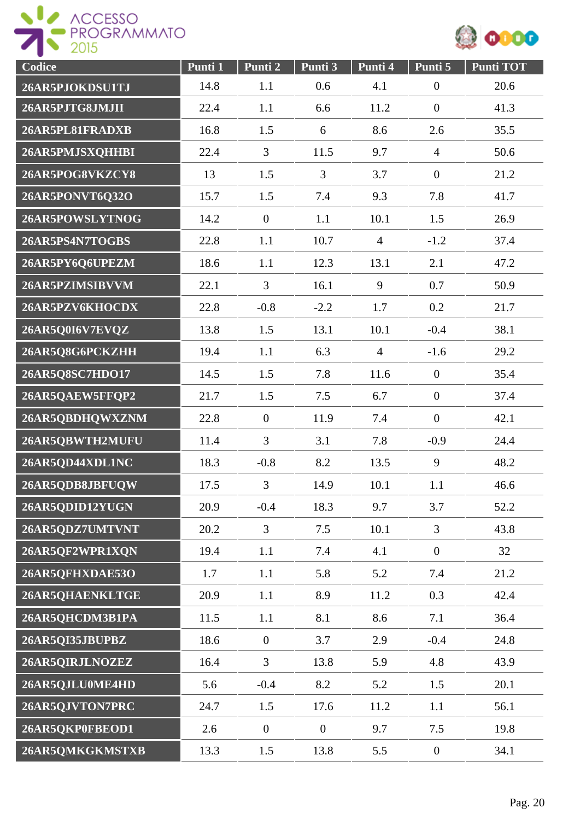



| Codice          | Punti 1 | Punti 2          | Punti 3          | Punti 4        | Punti 5          | <b>Punti TOT</b> |
|-----------------|---------|------------------|------------------|----------------|------------------|------------------|
| 26AR5PJOKDSU1TJ | 14.8    | 1.1              | 0.6              | 4.1            | $\boldsymbol{0}$ | 20.6             |
| 26AR5PJTG8JMJII | 22.4    | 1.1              | 6.6              | 11.2           | $\boldsymbol{0}$ | 41.3             |
| 26AR5PL81FRADXB | 16.8    | 1.5              | 6                | 8.6            | 2.6              | 35.5             |
| 26AR5PMJSXQHHBI | 22.4    | $\overline{3}$   | 11.5             | 9.7            | $\overline{4}$   | 50.6             |
| 26AR5POG8VKZCY8 | 13      | 1.5              | 3                | 3.7            | $\boldsymbol{0}$ | 21.2             |
| 26AR5PONVT6Q32O | 15.7    | 1.5              | 7.4              | 9.3            | 7.8              | 41.7             |
| 26AR5POWSLYTNOG | 14.2    | $\mathbf{0}$     | 1.1              | 10.1           | 1.5              | 26.9             |
| 26AR5PS4N7TOGBS | 22.8    | 1.1              | 10.7             | $\overline{4}$ | $-1.2$           | 37.4             |
| 26AR5PY6Q6UPEZM | 18.6    | 1.1              | 12.3             | 13.1           | 2.1              | 47.2             |
| 26AR5PZIMSIBVVM | 22.1    | $\overline{3}$   | 16.1             | 9              | 0.7              | 50.9             |
| 26AR5PZV6KHOCDX | 22.8    | $-0.8$           | $-2.2$           | 1.7            | 0.2              | 21.7             |
| 26AR5Q0I6V7EVQZ | 13.8    | 1.5              | 13.1             | 10.1           | $-0.4$           | 38.1             |
| 26AR5Q8G6PCKZHH | 19.4    | 1.1              | 6.3              | $\overline{4}$ | $-1.6$           | 29.2             |
| 26AR5Q8SC7HDO17 | 14.5    | 1.5              | 7.8              | 11.6           | $\boldsymbol{0}$ | 35.4             |
| 26AR5QAEW5FFQP2 | 21.7    | 1.5              | 7.5              | 6.7            | $\overline{0}$   | 37.4             |
| 26AR5QBDHQWXZNM | 22.8    | $\overline{0}$   | 11.9             | 7.4            | $\overline{0}$   | 42.1             |
| 26AR5QBWTH2MUFU | 11.4    | $\overline{3}$   | 3.1              | 7.8            | $-0.9$           | 24.4             |
| 26AR5QD44XDL1NC | 18.3    | $-0.8$           | 8.2              | 13.5           | 9                | 48.2             |
| 26AR5QDB8JBFUQW | 17.5    | 3                | 14.9             | 10.1           | 1.1              | 46.6             |
| 26AR5QDID12YUGN | 20.9    | $-0.4$           | 18.3             | 9.7            | 3.7              | 52.2             |
| 26AR5QDZ7UMTVNT | 20.2    | $\overline{3}$   | 7.5              | 10.1           | $\overline{3}$   | 43.8             |
| 26AR5QF2WPR1XQN | 19.4    | 1.1              | 7.4              | 4.1            | $\overline{0}$   | 32               |
| 26AR5QFHXDAE53O | 1.7     | 1.1              | 5.8              | 5.2            | 7.4              | 21.2             |
| 26AR5QHAENKLTGE | 20.9    | 1.1              | 8.9              | 11.2           | 0.3              | 42.4             |
| 26AR5QHCDM3B1PA | 11.5    | 1.1              | 8.1              | 8.6            | 7.1              | 36.4             |
| 26AR5QI35JBUPBZ | 18.6    | $\overline{0}$   | 3.7              | 2.9            | $-0.4$           | 24.8             |
| 26AR5QIRJLNOZEZ | 16.4    | 3                | 13.8             | 5.9            | 4.8              | 43.9             |
| 26AR5QJLU0ME4HD | 5.6     | $-0.4$           | 8.2              | 5.2            | 1.5              | 20.1             |
| 26AR5QJVTON7PRC | 24.7    | 1.5              | 17.6             | 11.2           | 1.1              | 56.1             |
| 26AR5QKP0FBEOD1 | 2.6     | $\boldsymbol{0}$ | $\boldsymbol{0}$ | 9.7            | 7.5              | 19.8             |
| 26AR5QMKGKMSTXB | 13.3    | 1.5              | 13.8             | 5.5            | $\overline{0}$   | 34.1             |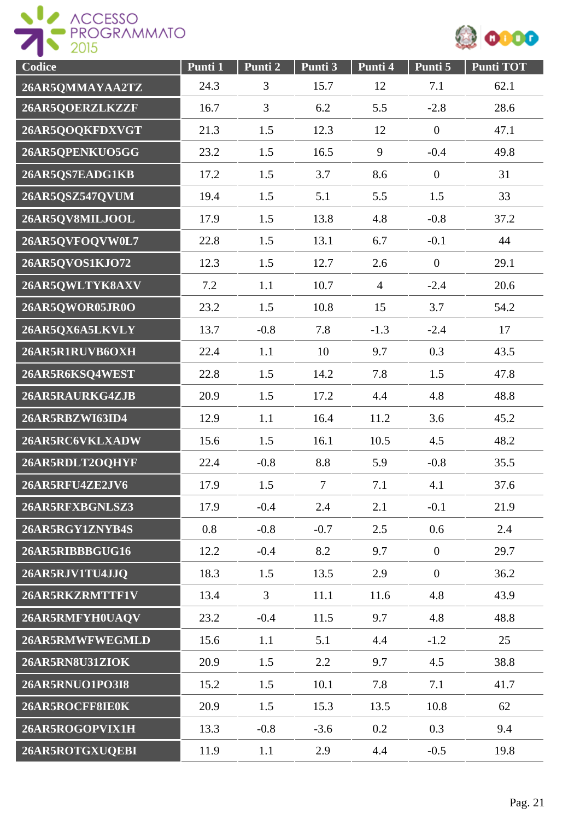



| Codice          | Punti 1 | Punti 2        | Punti 3        | Punti 4        | Punti 5        | <b>Punti TOT</b> |
|-----------------|---------|----------------|----------------|----------------|----------------|------------------|
| 26AR5QMMAYAA2TZ | 24.3    | 3              | 15.7           | 12             | 7.1            | 62.1             |
| 26AR5QOERZLKZZF | 16.7    | $\overline{3}$ | 6.2            | 5.5            | $-2.8$         | 28.6             |
| 26AR5QOQKFDXVGT | 21.3    | 1.5            | 12.3           | 12             | $\mathbf{0}$   | 47.1             |
| 26AR5QPENKUO5GG | 23.2    | 1.5            | 16.5           | 9              | $-0.4$         | 49.8             |
| 26AR5QS7EADG1KB | 17.2    | 1.5            | 3.7            | 8.6            | $\mathbf{0}$   | 31               |
| 26AR5QSZ547QVUM | 19.4    | 1.5            | 5.1            | 5.5            | 1.5            | 33               |
| 26AR5QV8MILJOOL | 17.9    | 1.5            | 13.8           | 4.8            | $-0.8$         | 37.2             |
| 26AR5QVFOQVW0L7 | 22.8    | 1.5            | 13.1           | 6.7            | $-0.1$         | 44               |
| 26AR5QVOS1KJO72 | 12.3    | 1.5            | 12.7           | 2.6            | $\overline{0}$ | 29.1             |
| 26AR5QWLTYK8AXV | 7.2     | 1.1            | 10.7           | $\overline{4}$ | $-2.4$         | 20.6             |
| 26AR5QWOR05JR0O | 23.2    | 1.5            | 10.8           | 15             | 3.7            | 54.2             |
| 26AR5QX6A5LKVLY | 13.7    | $-0.8$         | 7.8            | $-1.3$         | $-2.4$         | 17               |
| 26AR5R1RUVB6OXH | 22.4    | 1.1            | 10             | 9.7            | 0.3            | 43.5             |
| 26AR5R6KSQ4WEST | 22.8    | 1.5            | 14.2           | 7.8            | 1.5            | 47.8             |
| 26AR5RAURKG4ZJB | 20.9    | 1.5            | 17.2           | 4.4            | 4.8            | 48.8             |
| 26AR5RBZWI63ID4 | 12.9    | 1.1            | 16.4           | 11.2           | 3.6            | 45.2             |
| 26AR5RC6VKLXADW | 15.6    | 1.5            | 16.1           | 10.5           | 4.5            | 48.2             |
| 26AR5RDLT2OQHYF | 22.4    | $-0.8$         | 8.8            | 5.9            | $-0.8$         | 35.5             |
| 26AR5RFU4ZE2JV6 | 17.9    | 1.5            | $\overline{7}$ | 7.1            | 4.1            | 37.6             |
| 26AR5RFXBGNLSZ3 | 17.9    | $-0.4$         | 2.4            | 2.1            | $-0.1$         | 21.9             |
| 26AR5RGY1ZNYB4S | 0.8     | $-0.8$         | $-0.7$         | 2.5            | 0.6            | 2.4              |
| 26AR5RIBBBGUG16 | 12.2    | $-0.4$         | 8.2            | 9.7            | $\mathbf{0}$   | 29.7             |
| 26AR5RJV1TU4JJQ | 18.3    | 1.5            | 13.5           | 2.9            | $\mathbf{0}$   | 36.2             |
| 26AR5RKZRMTTF1V | 13.4    | $\overline{3}$ | 11.1           | 11.6           | 4.8            | 43.9             |
| 26AR5RMFYH0UAQV | 23.2    | $-0.4$         | 11.5           | 9.7            | 4.8            | 48.8             |
| 26AR5RMWFWEGMLD | 15.6    | 1.1            | 5.1            | 4.4            | $-1.2$         | 25               |
| 26AR5RN8U31ZIOK | 20.9    | 1.5            | 2.2            | 9.7            | 4.5            | 38.8             |
| 26AR5RNUO1PO3I8 | 15.2    | 1.5            | 10.1           | 7.8            | 7.1            | 41.7             |
| 26AR5ROCFF8IE0K | 20.9    | 1.5            | 15.3           | 13.5           | 10.8           | 62               |
| 26AR5ROGOPVIX1H | 13.3    | $-0.8$         | $-3.6$         | 0.2            | 0.3            | 9.4              |
| 26AR5ROTGXUQEBI | 11.9    | 1.1            | 2.9            | 4.4            | $-0.5$         | 19.8             |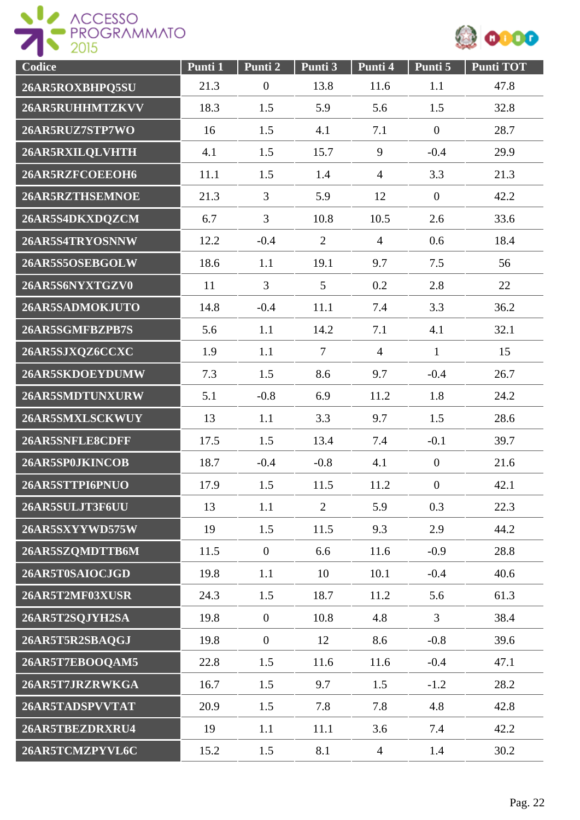



| Codice          | Punti 1 | Punti <sub>2</sub> | Punti 3        | Punti 4        | Punti 5          | <b>Punti TOT</b> |
|-----------------|---------|--------------------|----------------|----------------|------------------|------------------|
| 26AR5ROXBHPQ5SU | 21.3    | $\boldsymbol{0}$   | 13.8           | 11.6           | 1.1              | 47.8             |
| 26AR5RUHHMTZKVV | 18.3    | 1.5                | 5.9            | 5.6            | 1.5              | 32.8             |
| 26AR5RUZ7STP7WO | 16      | 1.5                | 4.1            | 7.1            | $\mathbf{0}$     | 28.7             |
| 26AR5RXILQLVHTH | 4.1     | 1.5                | 15.7           | 9              | $-0.4$           | 29.9             |
| 26AR5RZFCOEEOH6 | 11.1    | 1.5                | 1.4            | $\overline{4}$ | 3.3              | 21.3             |
| 26AR5RZTHSEMNOE | 21.3    | 3                  | 5.9            | 12             | $\overline{0}$   | 42.2             |
| 26AR5S4DKXDQZCM | 6.7     | 3                  | 10.8           | 10.5           | 2.6              | 33.6             |
| 26AR5S4TRYOSNNW | 12.2    | $-0.4$             | $\overline{2}$ | $\overline{4}$ | 0.6              | 18.4             |
| 26AR5S5OSEBGOLW | 18.6    | 1.1                | 19.1           | 9.7            | 7.5              | 56               |
| 26AR5S6NYXTGZV0 | 11      | $\overline{3}$     | 5              | 0.2            | 2.8              | 22               |
| 26AR5SADMOKJUTO | 14.8    | $-0.4$             | 11.1           | 7.4            | 3.3              | 36.2             |
| 26AR5SGMFBZPB7S | 5.6     | 1.1                | 14.2           | 7.1            | 4.1              | 32.1             |
| 26AR5SJXQZ6CCXC | 1.9     | 1.1                | $\overline{7}$ | $\overline{4}$ | $\mathbf{1}$     | 15               |
| 26AR5SKDOEYDUMW | 7.3     | 1.5                | 8.6            | 9.7            | $-0.4$           | 26.7             |
| 26AR5SMDTUNXURW | 5.1     | $-0.8$             | 6.9            | 11.2           | 1.8              | 24.2             |
| 26AR5SMXLSCKWUY | 13      | 1.1                | 3.3            | 9.7            | 1.5              | 28.6             |
| 26AR5SNFLE8CDFF | 17.5    | 1.5                | 13.4           | 7.4            | $-0.1$           | 39.7             |
| 26AR5SP0JKINCOB | 18.7    | $-0.4$             | $-0.8$         | 4.1            | $\overline{0}$   | 21.6             |
| 26AR5STTPI6PNUO | 17.9    | 1.5                | 11.5           | 11.2           | $\boldsymbol{0}$ | 42.1             |
| 26AR5SULJT3F6UU | 13      | 1.1                | $\overline{2}$ | 5.9            | 0.3              | 22.3             |
| 26AR5SXYYWD575W | 19      | 1.5                | 11.5           | 9.3            | 2.9              | 44.2             |
| 26AR5SZQMDTTB6M | 11.5    | $\overline{0}$     | 6.6            | 11.6           | $-0.9$           | 28.8             |
| 26AR5T0SAIOCJGD | 19.8    | 1.1                | 10             | 10.1           | $-0.4$           | 40.6             |
| 26AR5T2MF03XUSR | 24.3    | 1.5                | 18.7           | 11.2           | 5.6              | 61.3             |
| 26AR5T2SQJYH2SA | 19.8    | $\overline{0}$     | 10.8           | 4.8            | $\overline{3}$   | 38.4             |
| 26AR5T5R2SBAQGJ | 19.8    | $\boldsymbol{0}$   | 12             | 8.6            | $-0.8$           | 39.6             |
| 26AR5T7EBOOQAM5 | 22.8    | 1.5                | 11.6           | 11.6           | $-0.4$           | 47.1             |
| 26AR5T7JRZRWKGA | 16.7    | 1.5                | 9.7            | 1.5            | $-1.2$           | 28.2             |
| 26AR5TADSPVVTAT | 20.9    | 1.5                | 7.8            | 7.8            | 4.8              | 42.8             |
| 26AR5TBEZDRXRU4 | 19      | 1.1                | 11.1           | 3.6            | 7.4              | 42.2             |
| 26AR5TCMZPYVL6C | 15.2    | 1.5                | 8.1            | $\overline{4}$ | 1.4              | 30.2             |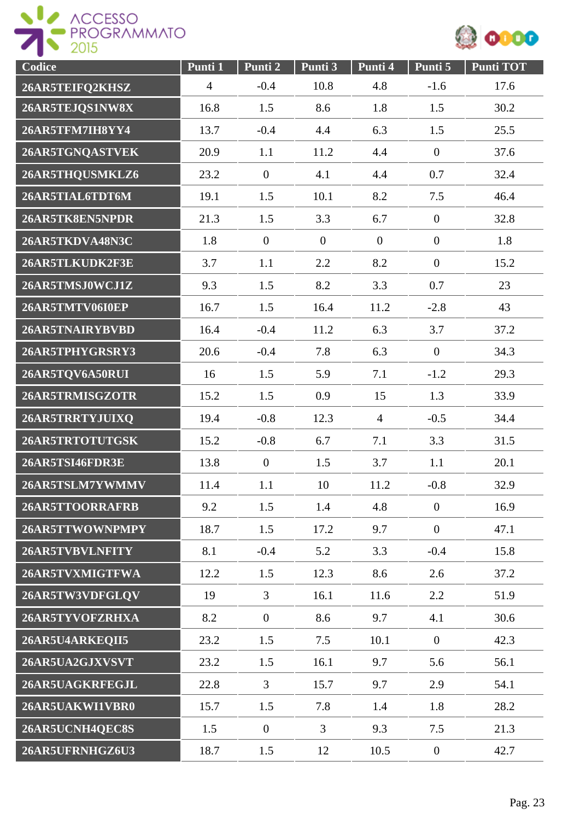



| Codice          | Punti 1        | Punti 2        | Punti <sub>3</sub> | Punti 4        | Punti 5        | <b>Punti TOT</b> |
|-----------------|----------------|----------------|--------------------|----------------|----------------|------------------|
| 26AR5TEIFQ2KHSZ | $\overline{4}$ | $-0.4$         | 10.8               | 4.8            | $-1.6$         | 17.6             |
| 26AR5TEJQS1NW8X | 16.8           | 1.5            | 8.6                | 1.8            | 1.5            | 30.2             |
| 26AR5TFM7IH8YY4 | 13.7           | $-0.4$         | 4.4                | 6.3            | 1.5            | 25.5             |
| 26AR5TGNQASTVEK | 20.9           | 1.1            | 11.2               | 4.4            | $\overline{0}$ | 37.6             |
| 26AR5THQUSMKLZ6 | 23.2           | $\overline{0}$ | 4.1                | 4.4            | 0.7            | 32.4             |
| 26AR5TIAL6TDT6M | 19.1           | 1.5            | 10.1               | 8.2            | 7.5            | 46.4             |
| 26AR5TK8EN5NPDR | 21.3           | 1.5            | 3.3                | 6.7            | $\overline{0}$ | 32.8             |
| 26AR5TKDVA48N3C | 1.8            | $\overline{0}$ | $\overline{0}$     | $\overline{0}$ | $\overline{0}$ | 1.8              |
| 26AR5TLKUDK2F3E | 3.7            | 1.1            | 2.2                | 8.2            | $\overline{0}$ | 15.2             |
| 26AR5TMSJ0WCJ1Z | 9.3            | 1.5            | 8.2                | 3.3            | 0.7            | 23               |
| 26AR5TMTV06I0EP | 16.7           | 1.5            | 16.4               | 11.2           | $-2.8$         | 43               |
| 26AR5TNAIRYBVBD | 16.4           | $-0.4$         | 11.2               | 6.3            | 3.7            | 37.2             |
| 26AR5TPHYGRSRY3 | 20.6           | $-0.4$         | 7.8                | 6.3            | $\mathbf{0}$   | 34.3             |
| 26AR5TQV6A50RUI | 16             | 1.5            | 5.9                | 7.1            | $-1.2$         | 29.3             |
| 26AR5TRMISGZOTR | 15.2           | 1.5            | 0.9                | 15             | 1.3            | 33.9             |
| 26AR5TRRTYJUIXQ | 19.4           | $-0.8$         | 12.3               | $\overline{4}$ | $-0.5$         | 34.4             |
| 26AR5TRTOTUTGSK | 15.2           | $-0.8$         | 6.7                | 7.1            | 3.3            | 31.5             |
| 26AR5TSI46FDR3E | 13.8           | $\overline{0}$ | 1.5                | 3.7            | 1.1            | 20.1             |
| 26AR5TSLM7YWMMV | 11.4           | 1.1            | 10                 | 11.2           | $-0.8$         | 32.9             |
| 26AR5TTOORRAFRB | 9.2            | 1.5            | 1.4                | 4.8            | $\overline{0}$ | 16.9             |
| 26AR5TTWOWNPMPY | 18.7           | 1.5            | 17.2               | 9.7            | $\overline{0}$ | 47.1             |
| 26AR5TVBVLNFITY | 8.1            | $-0.4$         | 5.2                | 3.3            | $-0.4$         | 15.8             |
| 26AR5TVXMIGTFWA | 12.2           | 1.5            | 12.3               | 8.6            | 2.6            | 37.2             |
| 26AR5TW3VDFGLQV | 19             | $\overline{3}$ | 16.1               | 11.6           | 2.2            | 51.9             |
| 26AR5TYVOFZRHXA | 8.2            | $\overline{0}$ | 8.6                | 9.7            | 4.1            | 30.6             |
| 26AR5U4ARKEQII5 | 23.2           | 1.5            | 7.5                | 10.1           | $\overline{0}$ | 42.3             |
| 26AR5UA2GJXVSVT | 23.2           | 1.5            | 16.1               | 9.7            | 5.6            | 56.1             |
| 26AR5UAGKRFEGJL | 22.8           | $\mathfrak{Z}$ | 15.7               | 9.7            | 2.9            | 54.1             |
| 26AR5UAKWI1VBR0 | 15.7           | 1.5            | 7.8                | 1.4            | 1.8            | 28.2             |
| 26AR5UCNH4QEC8S | 1.5            | $\overline{0}$ | $\overline{3}$     | 9.3            | 7.5            | 21.3             |
| 26AR5UFRNHGZ6U3 | 18.7           | 1.5            | 12                 | 10.5           | $\overline{0}$ | 42.7             |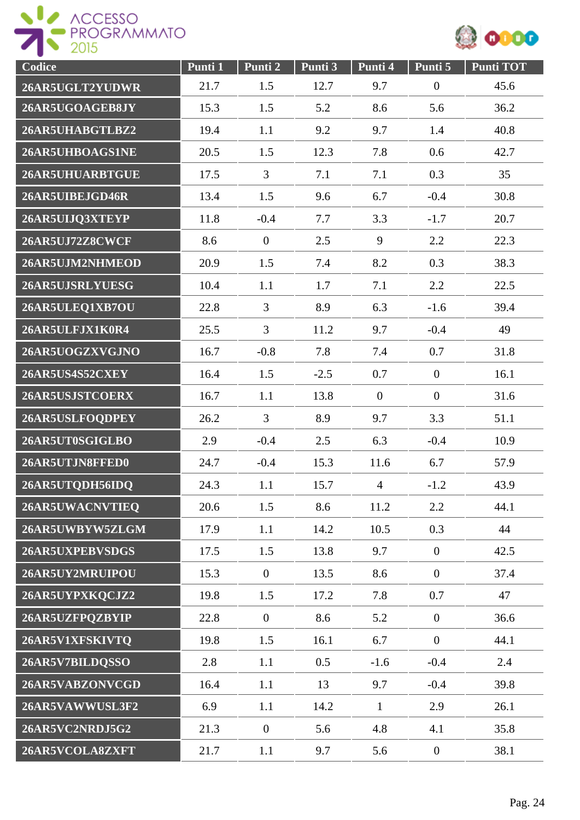



| Codice          | Punti 1 | Punti 2        | Punti 3 | Punti 4        | Punti 5          | <b>Punti TOT</b> |
|-----------------|---------|----------------|---------|----------------|------------------|------------------|
| 26AR5UGLT2YUDWR | 21.7    | 1.5            | 12.7    | 9.7            | $\boldsymbol{0}$ | 45.6             |
| 26AR5UGOAGEB8JY | 15.3    | 1.5            | 5.2     | 8.6            | 5.6              | 36.2             |
| 26AR5UHABGTLBZ2 | 19.4    | 1.1            | 9.2     | 9.7            | 1.4              | 40.8             |
| 26AR5UHBOAGS1NE | 20.5    | 1.5            | 12.3    | 7.8            | 0.6              | 42.7             |
| 26AR5UHUARBTGUE | 17.5    | $\overline{3}$ | 7.1     | 7.1            | 0.3              | 35               |
| 26AR5UIBEJGD46R | 13.4    | 1.5            | 9.6     | 6.7            | $-0.4$           | 30.8             |
| 26AR5UIJQ3XTEYP | 11.8    | $-0.4$         | 7.7     | 3.3            | $-1.7$           | 20.7             |
| 26AR5UJ72Z8CWCF | 8.6     | $\mathbf{0}$   | 2.5     | 9              | 2.2              | 22.3             |
| 26AR5UJM2NHMEOD | 20.9    | 1.5            | 7.4     | 8.2            | 0.3              | 38.3             |
| 26AR5UJSRLYUESG | 10.4    | 1.1            | 1.7     | 7.1            | 2.2              | 22.5             |
| 26AR5ULEQ1XB7OU | 22.8    | $\overline{3}$ | 8.9     | 6.3            | $-1.6$           | 39.4             |
| 26AR5ULFJX1K0R4 | 25.5    | $\overline{3}$ | 11.2    | 9.7            | $-0.4$           | 49               |
| 26AR5UOGZXVGJNO | 16.7    | $-0.8$         | 7.8     | 7.4            | 0.7              | 31.8             |
| 26AR5US4S52CXEY | 16.4    | 1.5            | $-2.5$  | 0.7            | $\overline{0}$   | 16.1             |
| 26AR5USJSTCOERX | 16.7    | 1.1            | 13.8    | $\mathbf{0}$   | $\overline{0}$   | 31.6             |
| 26AR5USLFOQDPEY | 26.2    | $\overline{3}$ | 8.9     | 9.7            | 3.3              | 51.1             |
| 26AR5UT0SGIGLBO | 2.9     | $-0.4$         | 2.5     | 6.3            | $-0.4$           | 10.9             |
| 26AR5UTJN8FFED0 | 24.7    | $-0.4$         | 15.3    | 11.6           | 6.7              | 57.9             |
| 26AR5UTQDH56IDQ | 24.3    | 1.1            | 15.7    | $\overline{4}$ | $-1.2$           | 43.9             |
| 26AR5UWACNVTIEQ | 20.6    | 1.5            | 8.6     | 11.2           | 2.2              | 44.1             |
| 26AR5UWBYW5ZLGM | 17.9    | 1.1            | 14.2    | 10.5           | 0.3              | 44               |
| 26AR5UXPEBVSDGS | 17.5    | 1.5            | 13.8    | 9.7            | $\overline{0}$   | 42.5             |
| 26AR5UY2MRUIPOU | 15.3    | $\overline{0}$ | 13.5    | 8.6            | $\overline{0}$   | 37.4             |
| 26AR5UYPXKQCJZ2 | 19.8    | 1.5            | 17.2    | 7.8            | 0.7              | 47               |
| 26AR5UZFPQZBYIP | 22.8    | $\overline{0}$ | 8.6     | 5.2            | $\overline{0}$   | 36.6             |
| 26AR5V1XFSKIVTQ | 19.8    | 1.5            | 16.1    | 6.7            | $\mathbf{0}$     | 44.1             |
| 26AR5V7BILDQSSO | 2.8     | 1.1            | 0.5     | $-1.6$         | $-0.4$           | 2.4              |
| 26AR5VABZONVCGD | 16.4    | 1.1            | 13      | 9.7            | $-0.4$           | 39.8             |
| 26AR5VAWWUSL3F2 | 6.9     | 1.1            | 14.2    | $\mathbf{1}$   | 2.9              | 26.1             |
| 26AR5VC2NRDJ5G2 | 21.3    | $\overline{0}$ | 5.6     | 4.8            | 4.1              | 35.8             |
| 26AR5VCOLA8ZXFT | 21.7    | 1.1            | 9.7     | 5.6            | $\overline{0}$   | 38.1             |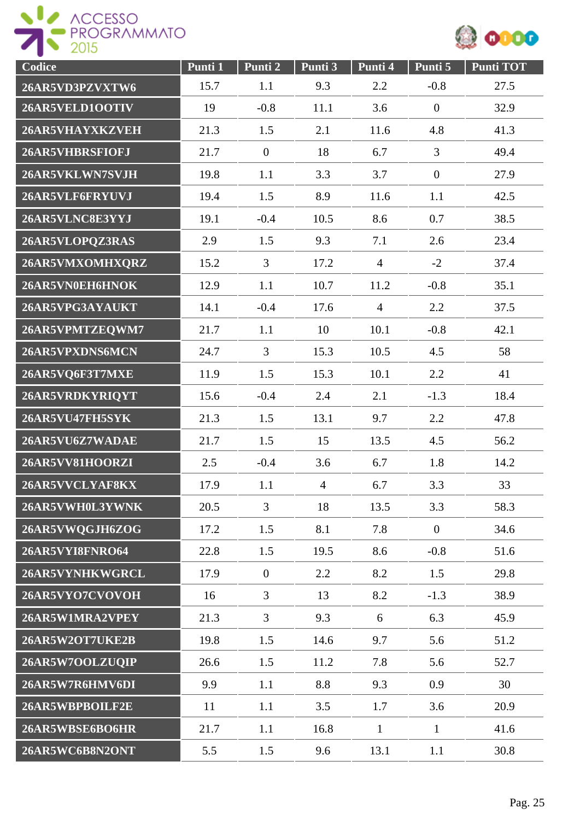



| Codice          | Punti 1 | Punti <sub>2</sub> | Punti 3        | Punti 4        | Punti 5          | <b>Punti TOT</b> |
|-----------------|---------|--------------------|----------------|----------------|------------------|------------------|
| 26AR5VD3PZVXTW6 | 15.7    | 1.1                | 9.3            | 2.2            | $-0.8$           | 27.5             |
| 26AR5VELD1OOTIV | 19      | $-0.8$             | 11.1           | 3.6            | $\boldsymbol{0}$ | 32.9             |
| 26AR5VHAYXKZVEH | 21.3    | 1.5                | 2.1            | 11.6           | 4.8              | 41.3             |
| 26AR5VHBRSFIOFJ | 21.7    | $\mathbf{0}$       | 18             | 6.7            | $\overline{3}$   | 49.4             |
| 26AR5VKLWN7SVJH | 19.8    | 1.1                | 3.3            | 3.7            | $\boldsymbol{0}$ | 27.9             |
| 26AR5VLF6FRYUVJ | 19.4    | 1.5                | 8.9            | 11.6           | 1.1              | 42.5             |
| 26AR5VLNC8E3YYJ | 19.1    | $-0.4$             | 10.5           | 8.6            | 0.7              | 38.5             |
| 26AR5VLOPQZ3RAS | 2.9     | 1.5                | 9.3            | 7.1            | 2.6              | 23.4             |
| 26AR5VMXOMHXQRZ | 15.2    | $\overline{3}$     | 17.2           | $\overline{4}$ | $-2$             | 37.4             |
| 26AR5VN0EH6HNOK | 12.9    | 1.1                | 10.7           | 11.2           | $-0.8$           | 35.1             |
| 26AR5VPG3AYAUKT | 14.1    | $-0.4$             | 17.6           | $\overline{4}$ | 2.2              | 37.5             |
| 26AR5VPMTZEQWM7 | 21.7    | 1.1                | 10             | 10.1           | $-0.8$           | 42.1             |
| 26AR5VPXDNS6MCN | 24.7    | 3                  | 15.3           | 10.5           | 4.5              | 58               |
| 26AR5VQ6F3T7MXE | 11.9    | 1.5                | 15.3           | 10.1           | 2.2              | 41               |
| 26AR5VRDKYRIQYT | 15.6    | $-0.4$             | 2.4            | 2.1            | $-1.3$           | 18.4             |
| 26AR5VU47FH5SYK | 21.3    | 1.5                | 13.1           | 9.7            | 2.2              | 47.8             |
| 26AR5VU6Z7WADAE | 21.7    | 1.5                | 15             | 13.5           | 4.5              | 56.2             |
| 26AR5VV81HOORZI | 2.5     | $-0.4$             | 3.6            | 6.7            | 1.8              | 14.2             |
| 26AR5VVCLYAF8KX | 17.9    | 1.1                | $\overline{4}$ | 6.7            | 3.3              | 33               |
| 26AR5VWH0L3YWNK | 20.5    | $\overline{3}$     | 18             | 13.5           | 3.3              | 58.3             |
| 26AR5VWQGJH6ZOG | 17.2    | 1.5                | 8.1            | 7.8            | $\boldsymbol{0}$ | 34.6             |
| 26AR5VYI8FNRO64 | 22.8    | 1.5                | 19.5           | 8.6            | $-0.8$           | 51.6             |
| 26AR5VYNHKWGRCL | 17.9    | $\boldsymbol{0}$   | 2.2            | 8.2            | 1.5              | 29.8             |
| 26AR5VYO7CVOVOH | 16      | $\overline{3}$     | 13             | 8.2            | $-1.3$           | 38.9             |
| 26AR5W1MRA2VPEY | 21.3    | $\overline{3}$     | 9.3            | 6              | 6.3              | 45.9             |
| 26AR5W2OT7UKE2B | 19.8    | 1.5                | 14.6           | 9.7            | 5.6              | 51.2             |
| 26AR5W7OOLZUQIP | 26.6    | 1.5                | 11.2           | 7.8            | 5.6              | 52.7             |
| 26AR5W7R6HMV6DI | 9.9     | 1.1                | 8.8            | 9.3            | 0.9              | 30               |
| 26AR5WBPBOILF2E | 11      | 1.1                | 3.5            | 1.7            | 3.6              | 20.9             |
| 26AR5WBSE6BO6HR | 21.7    | 1.1                | 16.8           | $\mathbf{1}$   | $\mathbf{1}$     | 41.6             |
| 26AR5WC6B8N2ONT | 5.5     | 1.5                | 9.6            | 13.1           | 1.1              | 30.8             |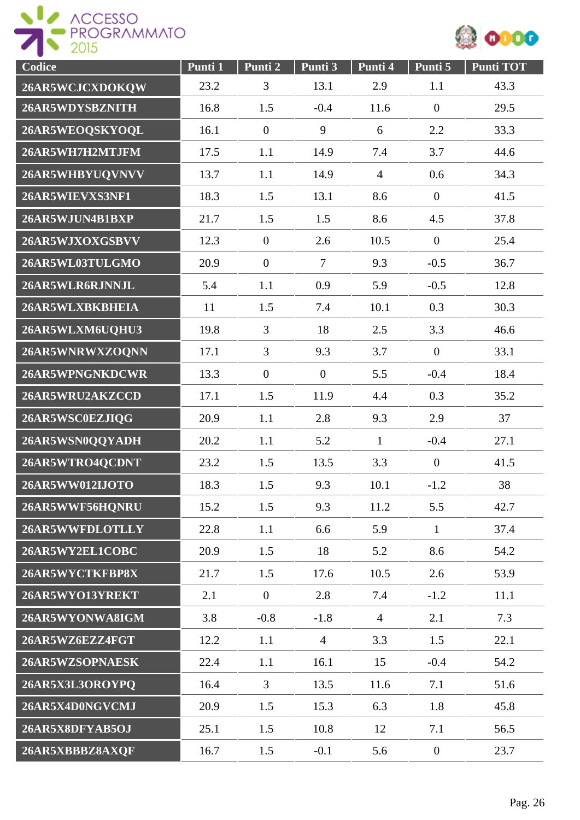



| Codice          | Punti 1 | Punti 2        | Punti 3        | Punti 4        | Punti 5        | <b>Punti TOT</b> |
|-----------------|---------|----------------|----------------|----------------|----------------|------------------|
| 26AR5WCJCXDOKQW | 23.2    | 3              | 13.1           | 2.9            | 1.1            | 43.3             |
| 26AR5WDYSBZNITH | 16.8    | 1.5            | $-0.4$         | 11.6           | $\overline{0}$ | 29.5             |
| 26AR5WEOQSKYOQL | 16.1    | $\overline{0}$ | 9              | 6              | 2.2            | 33.3             |
| 26AR5WH7H2MTJFM | 17.5    | 1.1            | 14.9           | 7.4            | 3.7            | 44.6             |
| 26AR5WHBYUQVNVV | 13.7    | 1.1            | 14.9           | $\overline{4}$ | 0.6            | 34.3             |
| 26AR5WIEVXS3NF1 | 18.3    | 1.5            | 13.1           | 8.6            | $\overline{0}$ | 41.5             |
| 26AR5WJUN4B1BXP | 21.7    | 1.5            | 1.5            | 8.6            | 4.5            | 37.8             |
| 26AR5WJXOXGSBVV | 12.3    | $\overline{0}$ | 2.6            | 10.5           | $\overline{0}$ | 25.4             |
| 26AR5WL03TULGMO | 20.9    | $\overline{0}$ | $\overline{7}$ | 9.3            | $-0.5$         | 36.7             |
| 26AR5WLR6RJNNJL | 5.4     | 1.1            | 0.9            | 5.9            | $-0.5$         | 12.8             |
| 26AR5WLXBKBHEIA | 11      | 1.5            | 7.4            | 10.1           | 0.3            | 30.3             |
| 26AR5WLXM6UQHU3 | 19.8    | $\overline{3}$ | 18             | 2.5            | 3.3            | 46.6             |
| 26AR5WNRWXZOQNN | 17.1    | $\overline{3}$ | 9.3            | 3.7            | $\overline{0}$ | 33.1             |
| 26AR5WPNGNKDCWR | 13.3    | $\mathbf{0}$   | $\mathbf{0}$   | 5.5            | $-0.4$         | 18.4             |
| 26AR5WRU2AKZCCD | 17.1    | 1.5            | 11.9           | 4.4            | 0.3            | 35.2             |
| 26AR5WSC0EZJIQG | 20.9    | 1.1            | 2.8            | 9.3            | 2.9            | 37               |
| 26AR5WSN0QQYADH | 20.2    | 1.1            | 5.2            | $\mathbf{1}$   | $-0.4$         | 27.1             |
| 26AR5WTRO4QCDNT | 23.2    | 1.5            | 13.5           | 3.3            | $\overline{0}$ | 41.5             |
| 26AR5WW012IJOTO | 18.3    | 1.5            | 9.3            | 10.1           | $-1.2$         | 38               |
| 26AR5WWF56HQNRU | 15.2    | 1.5            | 9.3            | 11.2           | 5.5            | 42.7             |
| 26AR5WWFDLOTLLY | 22.8    | 1.1            | 6.6            | 5.9            | $\mathbf{1}$   | 37.4             |
| 26AR5WY2EL1COBC | 20.9    | 1.5            | 18             | 5.2            | 8.6            | 54.2             |
| 26AR5WYCTKFBP8X | 21.7    | 1.5            | 17.6           | 10.5           | 2.6            | 53.9             |
| 26AR5WYO13YREKT | 2.1     | $\overline{0}$ | 2.8            | 7.4            | $-1.2$         | 11.1             |
| 26AR5WYONWA8IGM | 3.8     | $-0.8$         | $-1.8$         | $\overline{4}$ | 2.1            | 7.3              |
| 26AR5WZ6EZZ4FGT | 12.2    | 1.1            | $\overline{4}$ | 3.3            | 1.5            | 22.1             |
| 26AR5WZSOPNAESK | 22.4    | 1.1            | 16.1           | 15             | $-0.4$         | 54.2             |
| 26AR5X3L3OROYPQ | 16.4    | 3              | 13.5           | 11.6           | 7.1            | 51.6             |
| 26AR5X4D0NGVCMJ | 20.9    | 1.5            | 15.3           | 6.3            | 1.8            | 45.8             |
| 26AR5X8DFYAB5OJ | 25.1    | 1.5            | 10.8           | 12             | 7.1            | 56.5             |
| 26AR5XBBBZ8AXQF | 16.7    | 1.5            | $-0.1$         | 5.6            | $\overline{0}$ | 23.7             |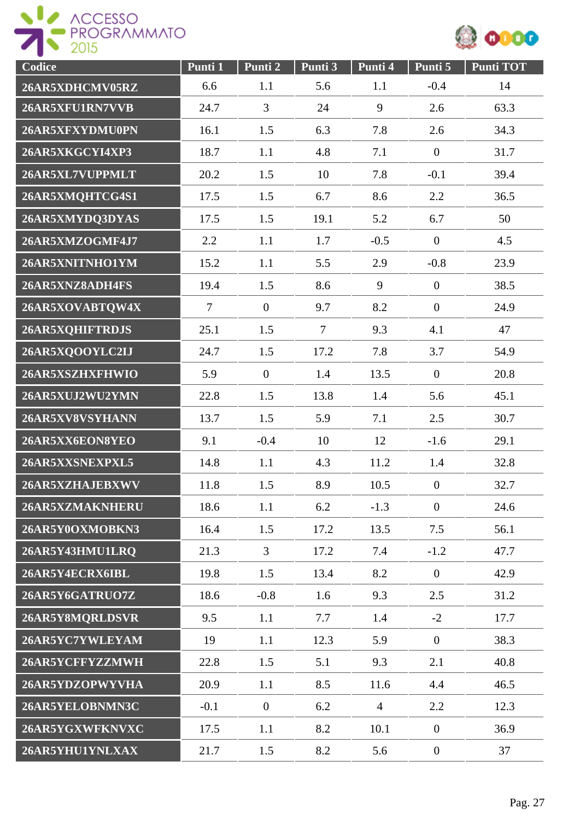ACCESSO



| Codice          | Punti 1        | Punti 2        | Punti 3        | Punti 4        | Punti 5        | <b>Punti TOT</b> |
|-----------------|----------------|----------------|----------------|----------------|----------------|------------------|
| 26AR5XDHCMV05RZ | 6.6            | 1.1            | 5.6            | 1.1            | $-0.4$         | 14               |
| 26AR5XFU1RN7VVB | 24.7           | 3              | 24             | 9              | 2.6            | 63.3             |
| 26AR5XFXYDMU0PN | 16.1           | 1.5            | 6.3            | 7.8            | 2.6            | 34.3             |
| 26AR5XKGCYI4XP3 | 18.7           | 1.1            | 4.8            | 7.1            | $\overline{0}$ | 31.7             |
| 26AR5XL7VUPPMLT | 20.2           | 1.5            | 10             | 7.8            | $-0.1$         | 39.4             |
| 26AR5XMQHTCG4S1 | 17.5           | 1.5            | 6.7            | 8.6            | 2.2            | 36.5             |
| 26AR5XMYDQ3DYAS | 17.5           | 1.5            | 19.1           | 5.2            | 6.7            | 50               |
| 26AR5XMZOGMF4J7 | 2.2            | 1.1            | 1.7            | $-0.5$         | $\overline{0}$ | 4.5              |
| 26AR5XNITNHO1YM | 15.2           | 1.1            | 5.5            | 2.9            | $-0.8$         | 23.9             |
| 26AR5XNZ8ADH4FS | 19.4           | 1.5            | 8.6            | 9              | $\overline{0}$ | 38.5             |
| 26AR5XOVABTQW4X | $\overline{7}$ | $\mathbf{0}$   | 9.7            | 8.2            | $\overline{0}$ | 24.9             |
| 26AR5XQHIFTRDJS | 25.1           | 1.5            | $\overline{7}$ | 9.3            | 4.1            | 47               |
| 26AR5XQOOYLC2IJ | 24.7           | 1.5            | 17.2           | 7.8            | 3.7            | 54.9             |
| 26AR5XSZHXFHWIO | 5.9            | $\mathbf{0}$   | 1.4            | 13.5           | $\overline{0}$ | 20.8             |
| 26AR5XUJ2WU2YMN | 22.8           | 1.5            | 13.8           | 1.4            | 5.6            | 45.1             |
| 26AR5XV8VSYHANN | 13.7           | 1.5            | 5.9            | 7.1            | 2.5            | 30.7             |
| 26AR5XX6EON8YEO | 9.1            | $-0.4$         | 10             | 12             | $-1.6$         | 29.1             |
| 26AR5XXSNEXPXL5 | 14.8           | 1.1            | 4.3            | 11.2           | 1.4            | 32.8             |
| 26AR5XZHAJEBXWV | 11.8           | 1.5            | 8.9            | 10.5           | $\overline{0}$ | 32.7             |
| 26AR5XZMAKNHERU | 18.6           | 1.1            | 6.2            | $-1.3$         | $\overline{0}$ | 24.6             |
| 26AR5Y0OXMOBKN3 | 16.4           | 1.5            | 17.2           | 13.5           | 7.5            | 56.1             |
| 26AR5Y43HMU1LRQ | 21.3           | $\overline{3}$ | 17.2           | 7.4            | $-1.2$         | 47.7             |
| 26AR5Y4ECRX6IBL | 19.8           | 1.5            | 13.4           | 8.2            | $\overline{0}$ | 42.9             |
| 26AR5Y6GATRUO7Z | 18.6           | $-0.8$         | 1.6            | 9.3            | 2.5            | 31.2             |
| 26AR5Y8MQRLDSVR | 9.5            | 1.1            | 7.7            | 1.4            | $-2$           | 17.7             |
| 26AR5YC7YWLEYAM | 19             | 1.1            | 12.3           | 5.9            | $\overline{0}$ | 38.3             |
| 26AR5YCFFYZZMWH | 22.8           | 1.5            | 5.1            | 9.3            | 2.1            | 40.8             |
| 26AR5YDZOPWYVHA | 20.9           | 1.1            | 8.5            | 11.6           | 4.4            | 46.5             |
| 26AR5YELOBNMN3C | $-0.1$         | $\mathbf{0}$   | 6.2            | $\overline{4}$ | 2.2            | 12.3             |
| 26AR5YGXWFKNVXC | 17.5           | 1.1            | 8.2            | 10.1           | $\overline{0}$ | 36.9             |
| 26AR5YHU1YNLXAX | 21.7           | 1.5            | 8.2            | 5.6            | $\overline{0}$ | 37               |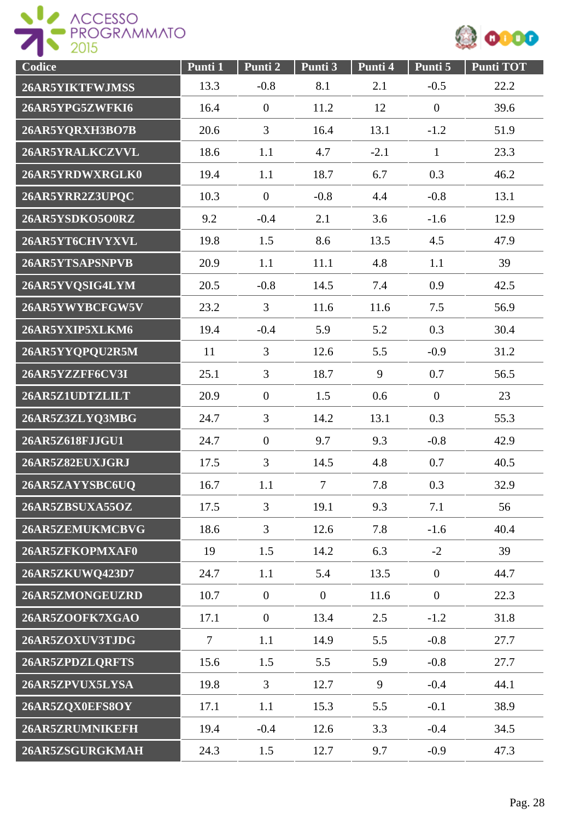



| Codice          | Punti 1 | Punti 2          | Punti 3        | Punti 4 | Punti 5        | <b>Punti TOT</b> |
|-----------------|---------|------------------|----------------|---------|----------------|------------------|
| 26AR5YIKTFWJMSS | 13.3    | $-0.8$           | 8.1            | 2.1     | $-0.5$         | 22.2             |
| 26AR5YPG5ZWFKI6 | 16.4    | $\overline{0}$   | 11.2           | 12      | $\overline{0}$ | 39.6             |
| 26AR5YQRXH3BO7B | 20.6    | $\overline{3}$   | 16.4           | 13.1    | $-1.2$         | 51.9             |
| 26AR5YRALKCZVVL | 18.6    | 1.1              | 4.7            | $-2.1$  | $\mathbf{1}$   | 23.3             |
| 26AR5YRDWXRGLK0 | 19.4    | 1.1              | 18.7           | 6.7     | 0.3            | 46.2             |
| 26AR5YRR2Z3UPQC | 10.3    | $\overline{0}$   | $-0.8$         | 4.4     | $-0.8$         | 13.1             |
| 26AR5YSDKO5O0RZ | 9.2     | $-0.4$           | 2.1            | 3.6     | $-1.6$         | 12.9             |
| 26AR5YT6CHVYXVL | 19.8    | 1.5              | 8.6            | 13.5    | 4.5            | 47.9             |
| 26AR5YTSAPSNPVB | 20.9    | 1.1              | 11.1           | 4.8     | 1.1            | 39               |
| 26AR5YVQSIG4LYM | 20.5    | $-0.8$           | 14.5           | 7.4     | 0.9            | 42.5             |
| 26AR5YWYBCFGW5V | 23.2    | $\overline{3}$   | 11.6           | 11.6    | 7.5            | 56.9             |
| 26AR5YXIP5XLKM6 | 19.4    | $-0.4$           | 5.9            | 5.2     | 0.3            | 30.4             |
| 26AR5YYQPQU2R5M | 11      | 3                | 12.6           | 5.5     | $-0.9$         | 31.2             |
| 26AR5YZZFF6CV3I | 25.1    | $\overline{3}$   | 18.7           | 9       | 0.7            | 56.5             |
| 26AR5Z1UDTZLILT | 20.9    | $\overline{0}$   | 1.5            | 0.6     | $\overline{0}$ | 23               |
| 26AR5Z3ZLYQ3MBG | 24.7    | $\overline{3}$   | 14.2           | 13.1    | 0.3            | 55.3             |
| 26AR5Z618FJJGU1 | 24.7    | $\boldsymbol{0}$ | 9.7            | 9.3     | $-0.8$         | 42.9             |
| 26AR5Z82EUXJGRJ | 17.5    | 3                | 14.5           | 4.8     | 0.7            | 40.5             |
| 26AR5ZAYYSBC6UQ | 16.7    | 1.1              | $\overline{7}$ | 7.8     | 0.3            | 32.9             |
| 26AR5ZBSUXA55OZ | 17.5    | $\overline{3}$   | 19.1           | 9.3     | 7.1            | 56               |
| 26AR5ZEMUKMCBVG | 18.6    | $\overline{3}$   | 12.6           | 7.8     | $-1.6$         | 40.4             |
| 26AR5ZFKOPMXAF0 | 19      | 1.5              | 14.2           | 6.3     | $-2$           | 39               |
| 26AR5ZKUWQ423D7 | 24.7    | 1.1              | 5.4            | 13.5    | $\overline{0}$ | 44.7             |
| 26AR5ZMONGEUZRD | 10.7    | $\overline{0}$   | $\overline{0}$ | 11.6    | $\overline{0}$ | 22.3             |
| 26AR5ZOOFK7XGAO | 17.1    | $\overline{0}$   | 13.4           | 2.5     | $-1.2$         | 31.8             |
| 26AR5ZOXUV3TJDG | $\tau$  | 1.1              | 14.9           | 5.5     | $-0.8$         | 27.7             |
| 26AR5ZPDZLQRFTS | 15.6    | 1.5              | 5.5            | 5.9     | $-0.8$         | 27.7             |
| 26AR5ZPVUX5LYSA | 19.8    | $\overline{3}$   | 12.7           | 9       | $-0.4$         | 44.1             |
| 26AR5ZQX0EFS8OY | 17.1    | 1.1              | 15.3           | 5.5     | $-0.1$         | 38.9             |
| 26AR5ZRUMNIKEFH | 19.4    | $-0.4$           | 12.6           | 3.3     | $-0.4$         | 34.5             |
| 26AR5ZSGURGKMAH | 24.3    | 1.5              | 12.7           | 9.7     | $-0.9$         | 47.3             |